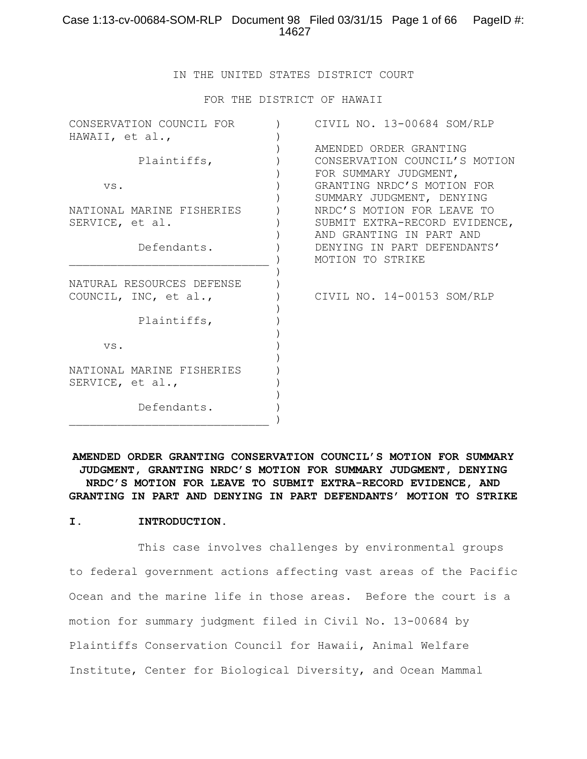## Case 1:13-cv-00684-SOM-RLP Document 98 Filed 03/31/15 Page 1 of 66 PageID #: 14627

IN THE UNITED STATES DISTRICT COURT

FOR THE DISTRICT OF HAWAII

| CONSERVATION COUNCIL FOR<br>HAWAII, et al., | CIVIL NO. 13-00684 SOM/RLP    |
|---------------------------------------------|-------------------------------|
|                                             | AMENDED ORDER GRANTING        |
| Plaintiffs,                                 | CONSERVATION COUNCIL'S MOTION |
|                                             | FOR SUMMARY JUDGMENT,         |
| VS.                                         | GRANTING NRDC'S MOTION FOR    |
|                                             | SUMMARY JUDGMENT, DENYING     |
| NATIONAL MARINE FISHERIES                   | NRDC'S MOTION FOR LEAVE TO    |
| SERVICE, et al.                             | SUBMIT EXTRA-RECORD EVIDENCE, |
|                                             | AND GRANTING IN PART AND      |
| Defendants.                                 | DENYING IN PART DEFENDANTS'   |
|                                             | MOTION TO STRIKE              |
|                                             |                               |
| NATURAL RESOURCES DEFENSE                   |                               |
| COUNCIL, INC, et al.,                       | CIVIL NO. 14-00153 SOM/RLP    |
| Plaintiffs,                                 |                               |
|                                             |                               |
| VS.                                         |                               |
|                                             |                               |
| NATIONAL MARINE FISHERIES                   |                               |
| SERVICE, et al.,                            |                               |
|                                             |                               |
| Defendants.                                 |                               |
|                                             |                               |

**AMENDED ORDER GRANTING CONSERVATION COUNCIL'S MOTION FOR SUMMARY JUDGMENT, GRANTING NRDC'S MOTION FOR SUMMARY JUDGMENT, DENYING NRDC'S MOTION FOR LEAVE TO SUBMIT EXTRA-RECORD EVIDENCE, AND GRANTING IN PART AND DENYING IN PART DEFENDANTS' MOTION TO STRIKE**

#### **I. INTRODUCTION.**

This case involves challenges by environmental groups to federal government actions affecting vast areas of the Pacific Ocean and the marine life in those areas. Before the court is a motion for summary judgment filed in Civil No. 13-00684 by Plaintiffs Conservation Council for Hawaii, Animal Welfare Institute, Center for Biological Diversity, and Ocean Mammal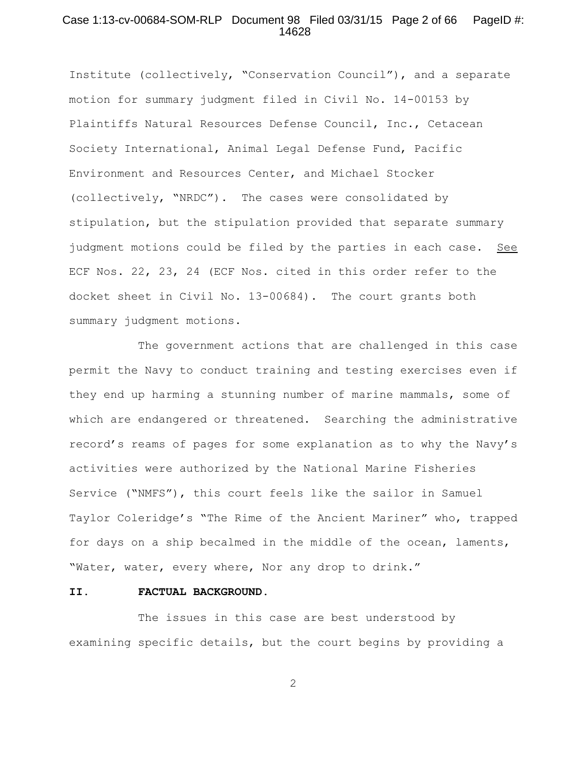## Case 1:13-cv-00684-SOM-RLP Document 98 Filed 03/31/15 Page 2 of 66 PageID #: 14628

Institute (collectively, "Conservation Council"), and a separate motion for summary judgment filed in Civil No. 14-00153 by Plaintiffs Natural Resources Defense Council, Inc., Cetacean Society International, Animal Legal Defense Fund, Pacific Environment and Resources Center, and Michael Stocker (collectively, "NRDC"). The cases were consolidated by stipulation, but the stipulation provided that separate summary judgment motions could be filed by the parties in each case. See ECF Nos. 22, 23, 24 (ECF Nos. cited in this order refer to the docket sheet in Civil No. 13-00684). The court grants both summary judgment motions.

The government actions that are challenged in this case permit the Navy to conduct training and testing exercises even if they end up harming a stunning number of marine mammals, some of which are endangered or threatened. Searching the administrative record's reams of pages for some explanation as to why the Navy's activities were authorized by the National Marine Fisheries Service ("NMFS"), this court feels like the sailor in Samuel Taylor Coleridge's "The Rime of the Ancient Mariner" who, trapped for days on a ship becalmed in the middle of the ocean, laments, "Water, water, every where, Nor any drop to drink."

## **II. FACTUAL BACKGROUND.**

The issues in this case are best understood by examining specific details, but the court begins by providing a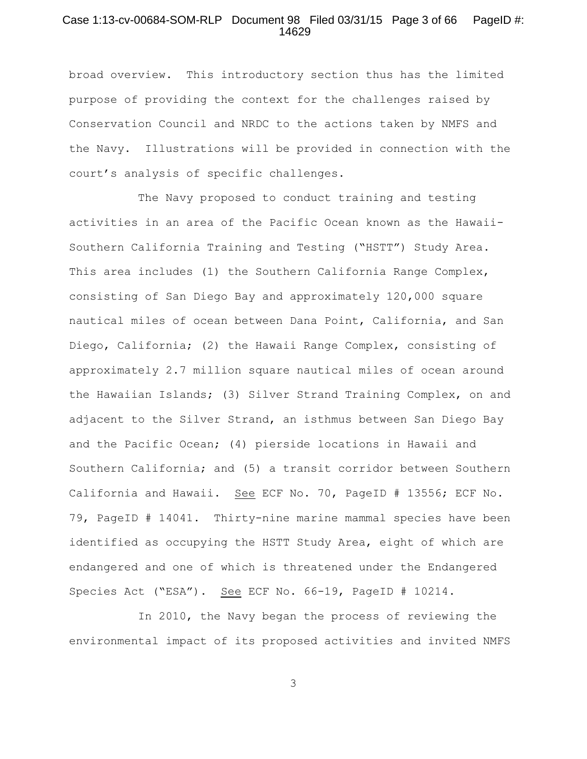## Case 1:13-cv-00684-SOM-RLP Document 98 Filed 03/31/15 Page 3 of 66 PageID #: 14629

broad overview. This introductory section thus has the limited purpose of providing the context for the challenges raised by Conservation Council and NRDC to the actions taken by NMFS and the Navy. Illustrations will be provided in connection with the court's analysis of specific challenges.

The Navy proposed to conduct training and testing activities in an area of the Pacific Ocean known as the Hawaii-Southern California Training and Testing ("HSTT") Study Area. This area includes (1) the Southern California Range Complex, consisting of San Diego Bay and approximately 120,000 square nautical miles of ocean between Dana Point, California, and San Diego, California; (2) the Hawaii Range Complex, consisting of approximately 2.7 million square nautical miles of ocean around the Hawaiian Islands; (3) Silver Strand Training Complex, on and adjacent to the Silver Strand, an isthmus between San Diego Bay and the Pacific Ocean; (4) pierside locations in Hawaii and Southern California; and (5) a transit corridor between Southern California and Hawaii. See ECF No. 70, PageID # 13556; ECF No. 79, PageID # 14041. Thirty-nine marine mammal species have been identified as occupying the HSTT Study Area, eight of which are endangered and one of which is threatened under the Endangered Species Act ("ESA"). See ECF No. 66-19, PageID # 10214.

In 2010, the Navy began the process of reviewing the environmental impact of its proposed activities and invited NMFS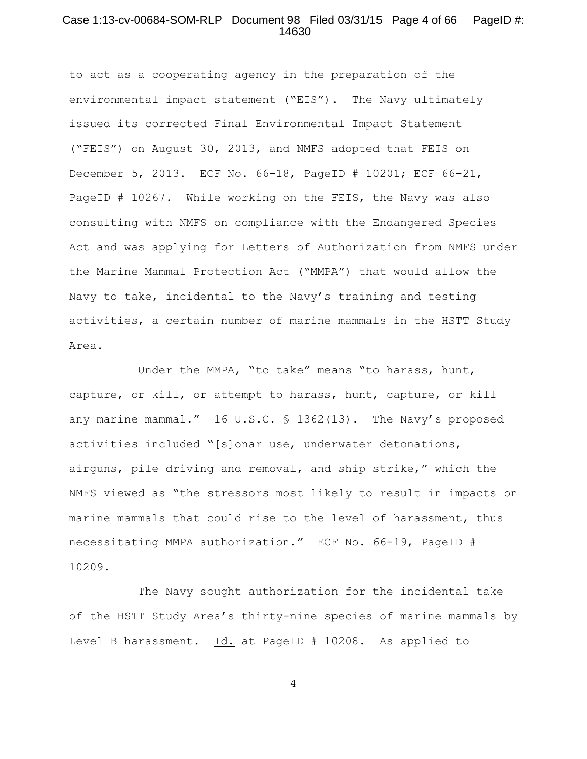## Case 1:13-cv-00684-SOM-RLP Document 98 Filed 03/31/15 Page 4 of 66 PageID #: 14630

to act as a cooperating agency in the preparation of the environmental impact statement ("EIS"). The Navy ultimately issued its corrected Final Environmental Impact Statement ("FEIS") on August 30, 2013, and NMFS adopted that FEIS on December 5, 2013. ECF No. 66-18, PageID # 10201; ECF 66-21, PageID # 10267. While working on the FEIS, the Navy was also consulting with NMFS on compliance with the Endangered Species Act and was applying for Letters of Authorization from NMFS under the Marine Mammal Protection Act ("MMPA") that would allow the Navy to take, incidental to the Navy's training and testing activities, a certain number of marine mammals in the HSTT Study Area.

Under the MMPA, "to take" means "to harass, hunt, capture, or kill, or attempt to harass, hunt, capture, or kill any marine mammal." 16 U.S.C. § 1362(13). The Navy's proposed activities included "[s]onar use, underwater detonations, airguns, pile driving and removal, and ship strike," which the NMFS viewed as "the stressors most likely to result in impacts on marine mammals that could rise to the level of harassment, thus necessitating MMPA authorization." ECF No. 66-19, PageID # 10209.

The Navy sought authorization for the incidental take of the HSTT Study Area's thirty-nine species of marine mammals by Level B harassment. Id. at PageID # 10208. As applied to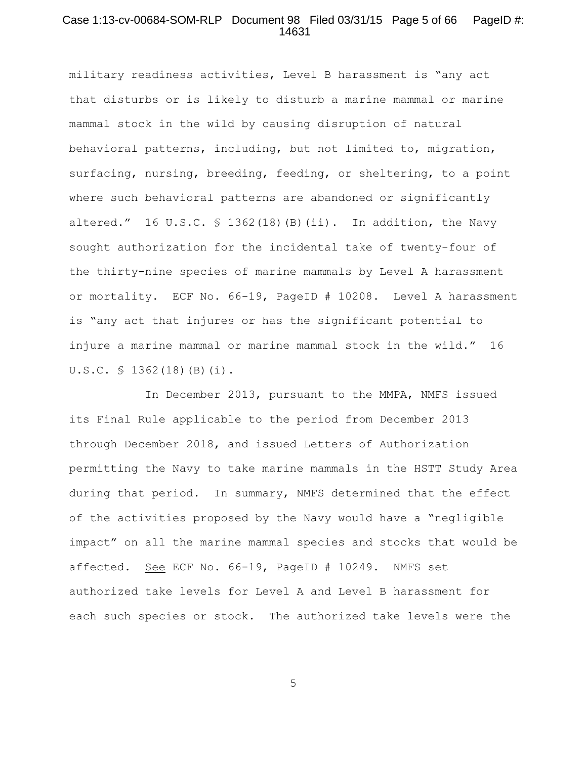## Case 1:13-cv-00684-SOM-RLP Document 98 Filed 03/31/15 Page 5 of 66 PageID #: 14631

military readiness activities, Level B harassment is "any act that disturbs or is likely to disturb a marine mammal or marine mammal stock in the wild by causing disruption of natural behavioral patterns, including, but not limited to, migration, surfacing, nursing, breeding, feeding, or sheltering, to a point where such behavioral patterns are abandoned or significantly altered." 16 U.S.C. § 1362(18)(B)(ii). In addition, the Navy sought authorization for the incidental take of twenty-four of the thirty-nine species of marine mammals by Level A harassment or mortality. ECF No. 66-19, PageID # 10208. Level A harassment is "any act that injures or has the significant potential to injure a marine mammal or marine mammal stock in the wild." 16 U.S.C. § 1362(18)(B)(i).

 In December 2013, pursuant to the MMPA, NMFS issued its Final Rule applicable to the period from December 2013 through December 2018, and issued Letters of Authorization permitting the Navy to take marine mammals in the HSTT Study Area during that period. In summary, NMFS determined that the effect of the activities proposed by the Navy would have a "negligible impact" on all the marine mammal species and stocks that would be affected. See ECF No. 66-19, PageID # 10249. NMFS set authorized take levels for Level A and Level B harassment for each such species or stock. The authorized take levels were the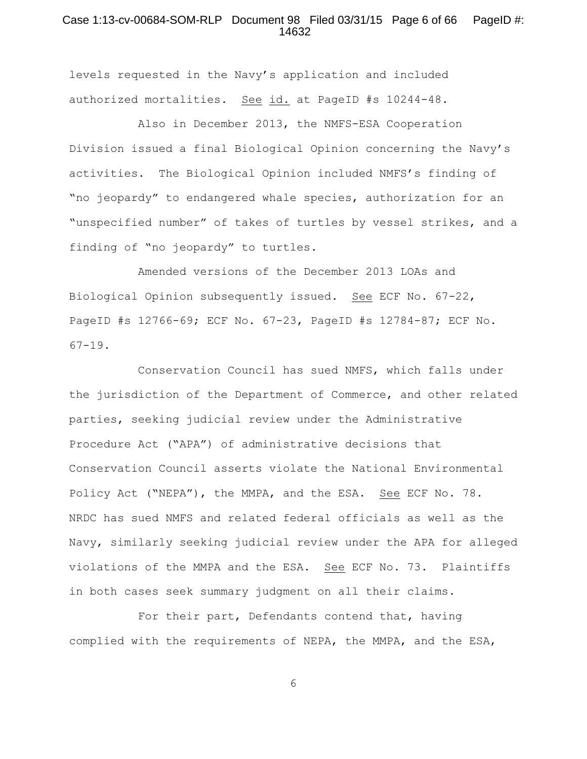## Case 1:13-cv-00684-SOM-RLP Document 98 Filed 03/31/15 Page 6 of 66 PageID #: 14632

levels requested in the Navy's application and included authorized mortalities. See id. at PageID #s 10244-48.

Also in December 2013, the NMFS-ESA Cooperation Division issued a final Biological Opinion concerning the Navy's activities. The Biological Opinion included NMFS's finding of "no jeopardy" to endangered whale species, authorization for an "unspecified number" of takes of turtles by vessel strikes, and a finding of "no jeopardy" to turtles.

Amended versions of the December 2013 LOAs and Biological Opinion subsequently issued. See ECF No. 67-22, PageID #s 12766-69; ECF No. 67-23, PageID #s 12784-87; ECF No.  $67-19$ .

Conservation Council has sued NMFS, which falls under the jurisdiction of the Department of Commerce, and other related parties, seeking judicial review under the Administrative Procedure Act ("APA") of administrative decisions that Conservation Council asserts violate the National Environmental Policy Act ("NEPA"), the MMPA, and the ESA. See ECF No. 78. NRDC has sued NMFS and related federal officials as well as the Navy, similarly seeking judicial review under the APA for alleged violations of the MMPA and the ESA. See ECF No. 73. Plaintiffs in both cases seek summary judgment on all their claims.

For their part, Defendants contend that, having complied with the requirements of NEPA, the MMPA, and the ESA,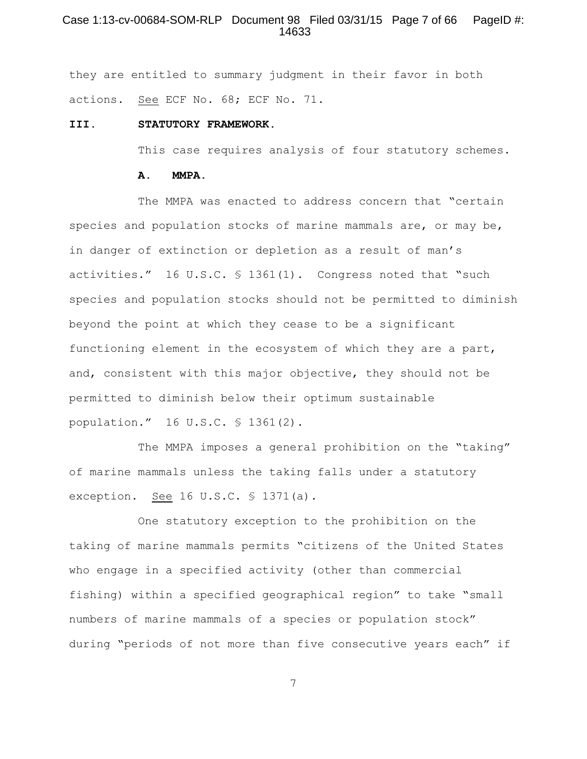## Case 1:13-cv-00684-SOM-RLP Document 98 Filed 03/31/15 Page 7 of 66 PageID #: 14633

they are entitled to summary judgment in their favor in both actions. See ECF No. 68; ECF No. 71.

#### **III. STATUTORY FRAMEWORK.**

This case requires analysis of four statutory schemes.

#### **A. MMPA.**

The MMPA was enacted to address concern that "certain species and population stocks of marine mammals are, or may be, in danger of extinction or depletion as a result of man's activities." 16 U.S.C. § 1361(1). Congress noted that "such species and population stocks should not be permitted to diminish beyond the point at which they cease to be a significant functioning element in the ecosystem of which they are a part, and, consistent with this major objective, they should not be permitted to diminish below their optimum sustainable population." 16 U.S.C. § 1361(2).

The MMPA imposes a general prohibition on the "taking" of marine mammals unless the taking falls under a statutory exception. See 16 U.S.C. § 1371(a).

One statutory exception to the prohibition on the taking of marine mammals permits "citizens of the United States who engage in a specified activity (other than commercial fishing) within a specified geographical region" to take "small numbers of marine mammals of a species or population stock" during "periods of not more than five consecutive years each" if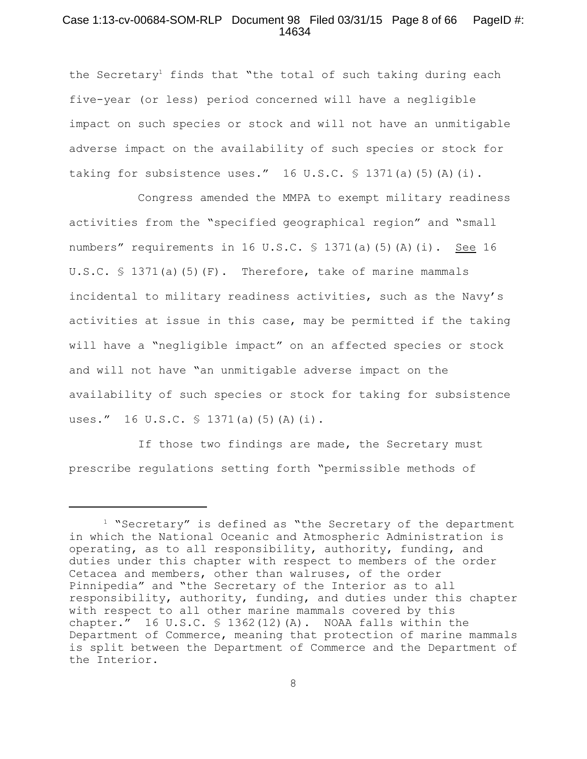### Case 1:13-cv-00684-SOM-RLP Document 98 Filed 03/31/15 Page 8 of 66 PageID #: 14634

the Secretary<sup>1</sup> finds that "the total of such taking during each five-year (or less) period concerned will have a negligible impact on such species or stock and will not have an unmitigable adverse impact on the availability of such species or stock for taking for subsistence uses."  $16 \text{ U.S.C. }$  \$ 1371(a)(5)(A)(i).

Congress amended the MMPA to exempt military readiness activities from the "specified geographical region" and "small numbers" requirements in 16 U.S.C.  $\frac{1}{2}$  1371(a)(5)(A)(i). See 16 U.S.C. § 1371(a)(5)(F). Therefore, take of marine mammals incidental to military readiness activities, such as the Navy's activities at issue in this case, may be permitted if the taking will have a "negligible impact" on an affected species or stock and will not have "an unmitigable adverse impact on the availability of such species or stock for taking for subsistence uses." 16 U.S.C. § 1371(a)(5)(A)(i).

If those two findings are made, the Secretary must prescribe regulations setting forth "permissible methods of

 $1$  "Secretary" is defined as "the Secretary of the department in which the National Oceanic and Atmospheric Administration is operating, as to all responsibility, authority, funding, and duties under this chapter with respect to members of the order Cetacea and members, other than walruses, of the order Pinnipedia" and "the Secretary of the Interior as to all responsibility, authority, funding, and duties under this chapter with respect to all other marine mammals covered by this chapter." 16 U.S.C.  $\frac{1}{2}$  1362(12)(A). NOAA falls within the Department of Commerce, meaning that protection of marine mammals is split between the Department of Commerce and the Department of the Interior.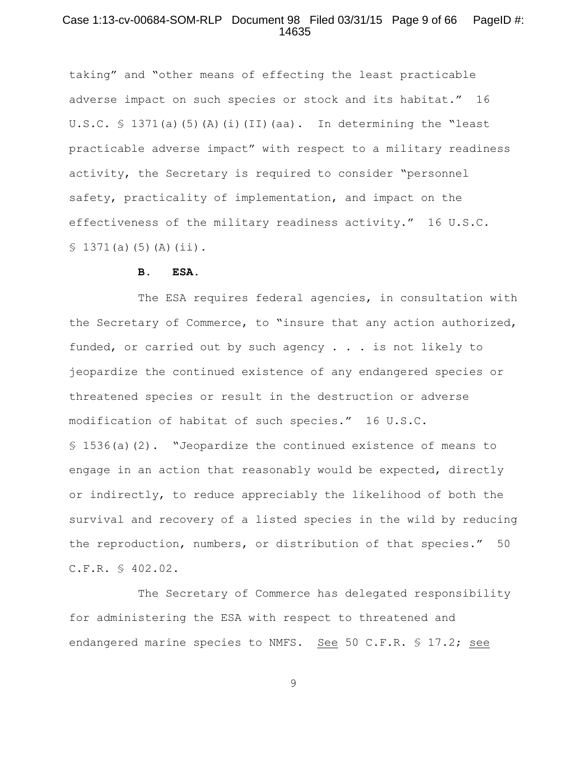## Case 1:13-cv-00684-SOM-RLP Document 98 Filed 03/31/15 Page 9 of 66 PageID #: 14635

taking" and "other means of effecting the least practicable adverse impact on such species or stock and its habitat." 16 U.S.C.  $\frac{1}{2}$  1371(a)(5)(A)(i)(II)(aa). In determining the "least practicable adverse impact" with respect to a military readiness activity, the Secretary is required to consider "personnel safety, practicality of implementation, and impact on the effectiveness of the military readiness activity." 16 U.S.C.  $$1371(a)(5)(A)(ii).$ 

#### **B. ESA.**

The ESA requires federal agencies, in consultation with the Secretary of Commerce, to "insure that any action authorized, funded, or carried out by such agency . . . is not likely to jeopardize the continued existence of any endangered species or threatened species or result in the destruction or adverse modification of habitat of such species." 16 U.S.C. § 1536(a)(2). "Jeopardize the continued existence of means to engage in an action that reasonably would be expected, directly or indirectly, to reduce appreciably the likelihood of both the survival and recovery of a listed species in the wild by reducing the reproduction, numbers, or distribution of that species." 50 C.F.R. § 402.02.

The Secretary of Commerce has delegated responsibility for administering the ESA with respect to threatened and endangered marine species to NMFS. See 50 C.F.R.  $\frac{17.2}{17.2}$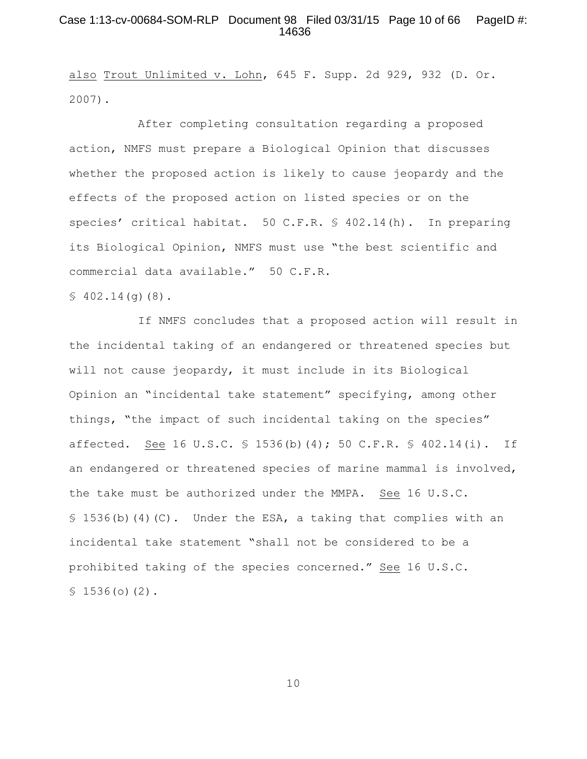## Case 1:13-cv-00684-SOM-RLP Document 98 Filed 03/31/15 Page 10 of 66 PageID #: 14636

also Trout Unlimited v. Lohn, 645 F. Supp. 2d 929, 932 (D. Or. 2007).

After completing consultation regarding a proposed action, NMFS must prepare a Biological Opinion that discusses whether the proposed action is likely to cause jeopardy and the effects of the proposed action on listed species or on the species' critical habitat. 50 C.F.R. § 402.14(h). In preparing its Biological Opinion, NMFS must use "the best scientific and commercial data available." 50 C.F.R.

 $$402.14(q)(8)$ .

If NMFS concludes that a proposed action will result in the incidental taking of an endangered or threatened species but will not cause jeopardy, it must include in its Biological Opinion an "incidental take statement" specifying, among other things, "the impact of such incidental taking on the species" affected. See 16 U.S.C. § 1536(b)(4); 50 C.F.R. § 402.14(i). If an endangered or threatened species of marine mammal is involved, the take must be authorized under the MMPA. See 16 U.S.C.  $\S$  1536(b)(4)(C). Under the ESA, a taking that complies with an incidental take statement "shall not be considered to be a prohibited taking of the species concerned." See 16 U.S.C.  $$1536(0)(2)$ .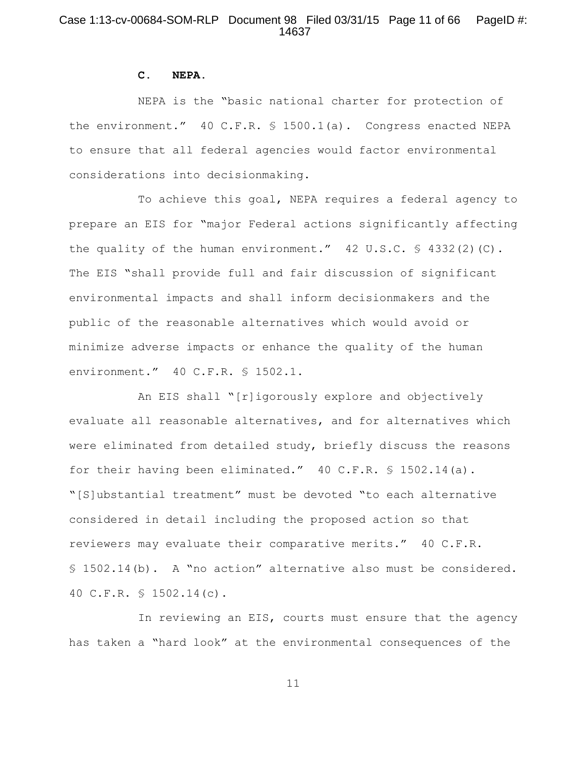# Case 1:13-cv-00684-SOM-RLP Document 98 Filed 03/31/15 Page 11 of 66 PageID #: 14637

#### **C. NEPA.**

NEPA is the "basic national charter for protection of the environment." 40 C.F.R. § 1500.1(a). Congress enacted NEPA to ensure that all federal agencies would factor environmental considerations into decisionmaking.

To achieve this goal, NEPA requires a federal agency to prepare an EIS for "major Federal actions significantly affecting the quality of the human environment." 42 U.S.C. § 4332(2)(C). The EIS "shall provide full and fair discussion of significant environmental impacts and shall inform decisionmakers and the public of the reasonable alternatives which would avoid or minimize adverse impacts or enhance the quality of the human environment." 40 C.F.R. § 1502.1.

An EIS shall "[r]igorously explore and objectively evaluate all reasonable alternatives, and for alternatives which were eliminated from detailed study, briefly discuss the reasons for their having been eliminated." 40 C.F.R. § 1502.14(a). "[S]ubstantial treatment" must be devoted "to each alternative considered in detail including the proposed action so that reviewers may evaluate their comparative merits." 40 C.F.R. § 1502.14(b). A "no action" alternative also must be considered. 40 C.F.R. § 1502.14(c).

In reviewing an EIS, courts must ensure that the agency has taken a "hard look" at the environmental consequences of the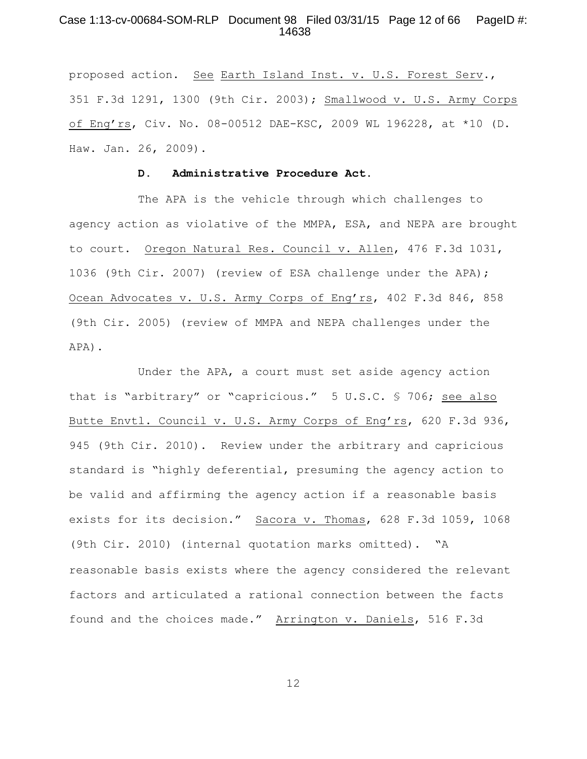## Case 1:13-cv-00684-SOM-RLP Document 98 Filed 03/31/15 Page 12 of 66 PageID #: 14638

proposed action. See Earth Island Inst. v. U.S. Forest Serv., 351 F.3d 1291, 1300 (9th Cir. 2003); Smallwood v. U.S. Army Corps of Eng'rs, Civ. No. 08-00512 DAE-KSC, 2009 WL 196228, at \*10 (D. Haw. Jan. 26, 2009).

#### **D. Administrative Procedure Act.**

The APA is the vehicle through which challenges to agency action as violative of the MMPA, ESA, and NEPA are brought to court. Oregon Natural Res. Council v. Allen, 476 F.3d 1031, 1036 (9th Cir. 2007) (review of ESA challenge under the APA); Ocean Advocates v. U.S. Army Corps of Eng'rs, 402 F.3d 846, 858 (9th Cir. 2005) (review of MMPA and NEPA challenges under the APA).

Under the APA, a court must set aside agency action that is "arbitrary" or "capricious." 5 U.S.C. § 706; see also Butte Envtl. Council v. U.S. Army Corps of Eng'rs, 620 F.3d 936, 945 (9th Cir. 2010). Review under the arbitrary and capricious standard is "highly deferential, presuming the agency action to be valid and affirming the agency action if a reasonable basis exists for its decision." Sacora v. Thomas, 628 F.3d 1059, 1068 (9th Cir. 2010) (internal quotation marks omitted). "A reasonable basis exists where the agency considered the relevant factors and articulated a rational connection between the facts found and the choices made." Arrington v. Daniels, 516 F.3d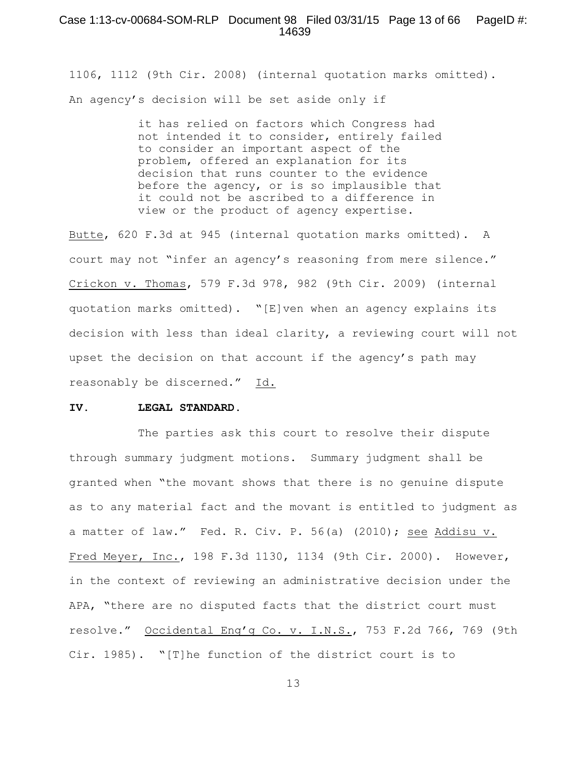1106, 1112 (9th Cir. 2008) (internal quotation marks omitted). An agency's decision will be set aside only if

> it has relied on factors which Congress had not intended it to consider, entirely failed to consider an important aspect of the problem, offered an explanation for its decision that runs counter to the evidence before the agency, or is so implausible that it could not be ascribed to a difference in view or the product of agency expertise.

Butte, 620 F.3d at 945 (internal quotation marks omitted). A court may not "infer an agency's reasoning from mere silence." Crickon v. Thomas, 579 F.3d 978, 982 (9th Cir. 2009) (internal quotation marks omitted). "[E]ven when an agency explains its decision with less than ideal clarity, a reviewing court will not upset the decision on that account if the agency's path may reasonably be discerned." Id.

#### **IV. LEGAL STANDARD.**

The parties ask this court to resolve their dispute through summary judgment motions. Summary judgment shall be granted when "the movant shows that there is no genuine dispute as to any material fact and the movant is entitled to judgment as a matter of law." Fed. R. Civ. P. 56(a) (2010); see Addisu v. Fred Meyer, Inc., 198 F.3d 1130, 1134 (9th Cir. 2000). However, in the context of reviewing an administrative decision under the APA, "there are no disputed facts that the district court must resolve." Occidental Eng'g Co. v. I.N.S., 753 F.2d 766, 769 (9th Cir. 1985). "[T]he function of the district court is to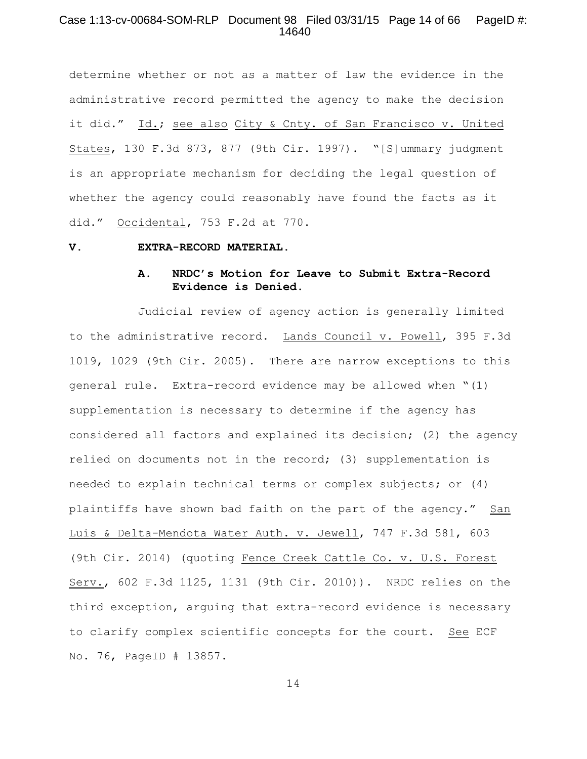## Case 1:13-cv-00684-SOM-RLP Document 98 Filed 03/31/15 Page 14 of 66 PageID #: 14640

determine whether or not as a matter of law the evidence in the administrative record permitted the agency to make the decision it did." Id.; see also City & Cnty. of San Francisco v. United States, 130 F.3d 873, 877 (9th Cir. 1997). "[S]ummary judgment is an appropriate mechanism for deciding the legal question of whether the agency could reasonably have found the facts as it did." Occidental, 753 F.2d at 770.

#### **V. EXTRA-RECORD MATERIAL.**

# **A. NRDC's Motion for Leave to Submit Extra-Record Evidence is Denied.**

Judicial review of agency action is generally limited to the administrative record. Lands Council v. Powell, 395 F.3d 1019, 1029 (9th Cir. 2005). There are narrow exceptions to this general rule. Extra-record evidence may be allowed when "(1) supplementation is necessary to determine if the agency has considered all factors and explained its decision; (2) the agency relied on documents not in the record; (3) supplementation is needed to explain technical terms or complex subjects; or (4) plaintiffs have shown bad faith on the part of the agency." San Luis & Delta-Mendota Water Auth. v. Jewell, 747 F.3d 581, 603 (9th Cir. 2014) (quoting Fence Creek Cattle Co. v. U.S. Forest Serv., 602 F.3d 1125, 1131 (9th Cir. 2010)). NRDC relies on the third exception, arguing that extra-record evidence is necessary to clarify complex scientific concepts for the court. See ECF No. 76, PageID # 13857.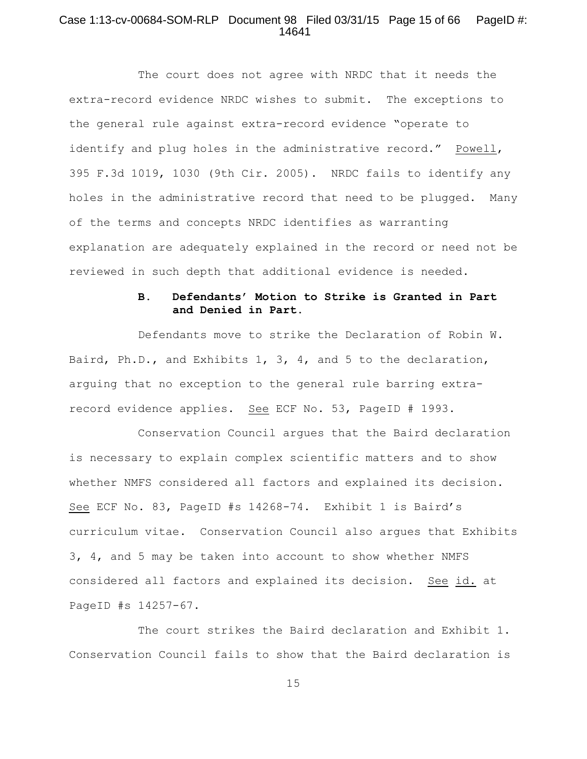## Case 1:13-cv-00684-SOM-RLP Document 98 Filed 03/31/15 Page 15 of 66 PageID #: 14641

The court does not agree with NRDC that it needs the extra-record evidence NRDC wishes to submit. The exceptions to the general rule against extra-record evidence "operate to identify and plug holes in the administrative record." Powell, 395 F.3d 1019, 1030 (9th Cir. 2005). NRDC fails to identify any holes in the administrative record that need to be plugged. Many of the terms and concepts NRDC identifies as warranting explanation are adequately explained in the record or need not be reviewed in such depth that additional evidence is needed.

# **B. Defendants' Motion to Strike is Granted in Part and Denied in Part.**

Defendants move to strike the Declaration of Robin W. Baird, Ph.D., and Exhibits 1, 3, 4, and 5 to the declaration, arguing that no exception to the general rule barring extrarecord evidence applies. See ECF No. 53, PageID # 1993.

Conservation Council argues that the Baird declaration is necessary to explain complex scientific matters and to show whether NMFS considered all factors and explained its decision. See ECF No. 83, PageID #s 14268-74. Exhibit 1 is Baird's curriculum vitae. Conservation Council also argues that Exhibits 3, 4, and 5 may be taken into account to show whether NMFS considered all factors and explained its decision. See id. at PageID #s 14257-67.

The court strikes the Baird declaration and Exhibit 1. Conservation Council fails to show that the Baird declaration is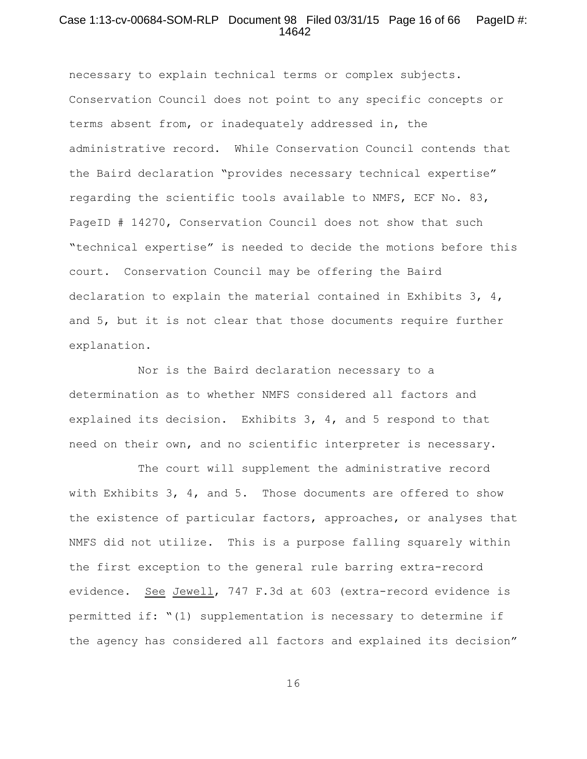#### Case 1:13-cv-00684-SOM-RLP Document 98 Filed 03/31/15 Page 16 of 66 PageID #: 14642

necessary to explain technical terms or complex subjects. Conservation Council does not point to any specific concepts or terms absent from, or inadequately addressed in, the administrative record. While Conservation Council contends that the Baird declaration "provides necessary technical expertise" regarding the scientific tools available to NMFS, ECF No. 83, PageID # 14270, Conservation Council does not show that such "technical expertise" is needed to decide the motions before this court. Conservation Council may be offering the Baird declaration to explain the material contained in Exhibits 3, 4, and 5, but it is not clear that those documents require further explanation.

Nor is the Baird declaration necessary to a determination as to whether NMFS considered all factors and explained its decision. Exhibits 3, 4, and 5 respond to that need on their own, and no scientific interpreter is necessary.

The court will supplement the administrative record with Exhibits 3, 4, and 5. Those documents are offered to show the existence of particular factors, approaches, or analyses that NMFS did not utilize. This is a purpose falling squarely within the first exception to the general rule barring extra-record evidence. See Jewell, 747 F.3d at 603 (extra-record evidence is permitted if: "(1) supplementation is necessary to determine if the agency has considered all factors and explained its decision"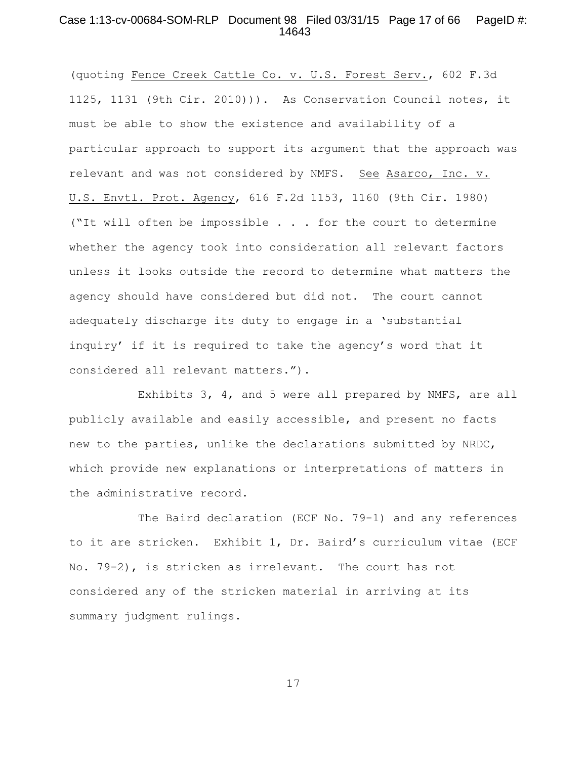## Case 1:13-cv-00684-SOM-RLP Document 98 Filed 03/31/15 Page 17 of 66 PageID #: 14643

(quoting Fence Creek Cattle Co. v. U.S. Forest Serv., 602 F.3d 1125, 1131 (9th Cir. 2010))). As Conservation Council notes, it must be able to show the existence and availability of a particular approach to support its argument that the approach was relevant and was not considered by NMFS. See Asarco, Inc. v. U.S. Envtl. Prot. Agency, 616 F.2d 1153, 1160 (9th Cir. 1980) ("It will often be impossible . . . for the court to determine whether the agency took into consideration all relevant factors unless it looks outside the record to determine what matters the agency should have considered but did not. The court cannot adequately discharge its duty to engage in a 'substantial inquiry' if it is required to take the agency's word that it considered all relevant matters.").

Exhibits 3, 4, and 5 were all prepared by NMFS, are all publicly available and easily accessible, and present no facts new to the parties, unlike the declarations submitted by NRDC, which provide new explanations or interpretations of matters in the administrative record.

The Baird declaration (ECF No. 79-1) and any references to it are stricken. Exhibit 1, Dr. Baird's curriculum vitae (ECF No. 79-2), is stricken as irrelevant. The court has not considered any of the stricken material in arriving at its summary judgment rulings.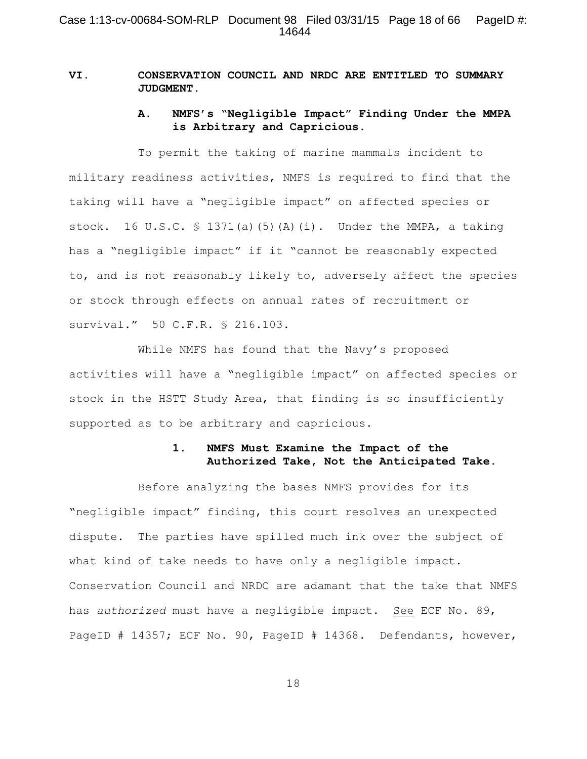# **VI. CONSERVATION COUNCIL AND NRDC ARE ENTITLED TO SUMMARY JUDGMENT.**

# **A. NMFS's "Negligible Impact" Finding Under the MMPA is Arbitrary and Capricious.**

To permit the taking of marine mammals incident to military readiness activities, NMFS is required to find that the taking will have a "negligible impact" on affected species or stock. 16 U.S.C.  $\frac{1}{3}$  1371(a)(5)(A)(i). Under the MMPA, a taking has a "negligible impact" if it "cannot be reasonably expected to, and is not reasonably likely to, adversely affect the species or stock through effects on annual rates of recruitment or survival." 50 C.F.R. § 216.103.

While NMFS has found that the Navy's proposed activities will have a "negligible impact" on affected species or stock in the HSTT Study Area, that finding is so insufficiently supported as to be arbitrary and capricious.

# **1. NMFS Must Examine the Impact of the Authorized Take, Not the Anticipated Take.**

Before analyzing the bases NMFS provides for its "negligible impact" finding, this court resolves an unexpected dispute. The parties have spilled much ink over the subject of what kind of take needs to have only a negligible impact. Conservation Council and NRDC are adamant that the take that NMFS has *authorized* must have a negligible impact. See ECF No. 89, PageID # 14357; ECF No. 90, PageID # 14368. Defendants, however,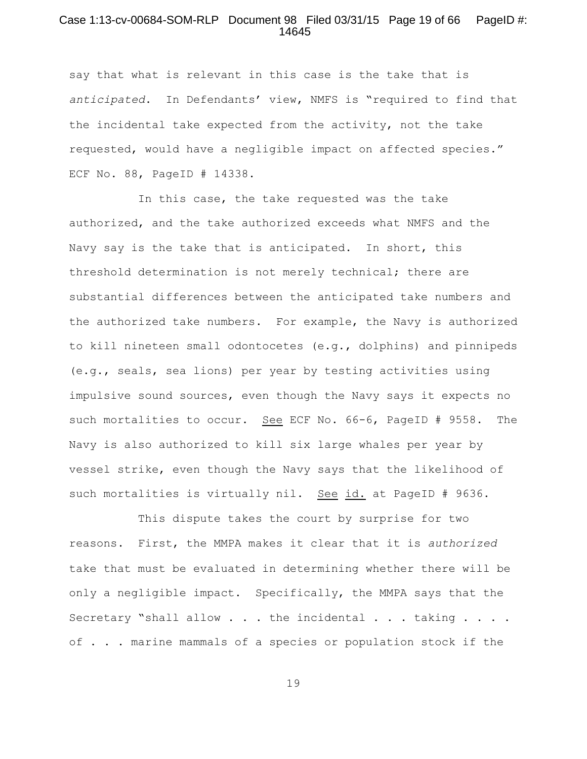## Case 1:13-cv-00684-SOM-RLP Document 98 Filed 03/31/15 Page 19 of 66 PageID #: 14645

say that what is relevant in this case is the take that is *anticipated*. In Defendants' view, NMFS is "required to find that the incidental take expected from the activity, not the take requested, would have a negligible impact on affected species." ECF No. 88, PageID # 14338.

In this case, the take requested was the take authorized, and the take authorized exceeds what NMFS and the Navy say is the take that is anticipated. In short, this threshold determination is not merely technical; there are substantial differences between the anticipated take numbers and the authorized take numbers. For example, the Navy is authorized to kill nineteen small odontocetes (e.g., dolphins) and pinnipeds (e.g., seals, sea lions) per year by testing activities using impulsive sound sources, even though the Navy says it expects no such mortalities to occur. See ECF No. 66-6, PageID # 9558. The Navy is also authorized to kill six large whales per year by vessel strike, even though the Navy says that the likelihood of such mortalities is virtually nil. See id. at PageID # 9636.

This dispute takes the court by surprise for two reasons. First, the MMPA makes it clear that it is *authorized* take that must be evaluated in determining whether there will be only a negligible impact. Specifically, the MMPA says that the Secretary "shall allow  $\ldots$  . the incidental  $\ldots$  . taking  $\ldots$  . of . . . marine mammals of a species or population stock if the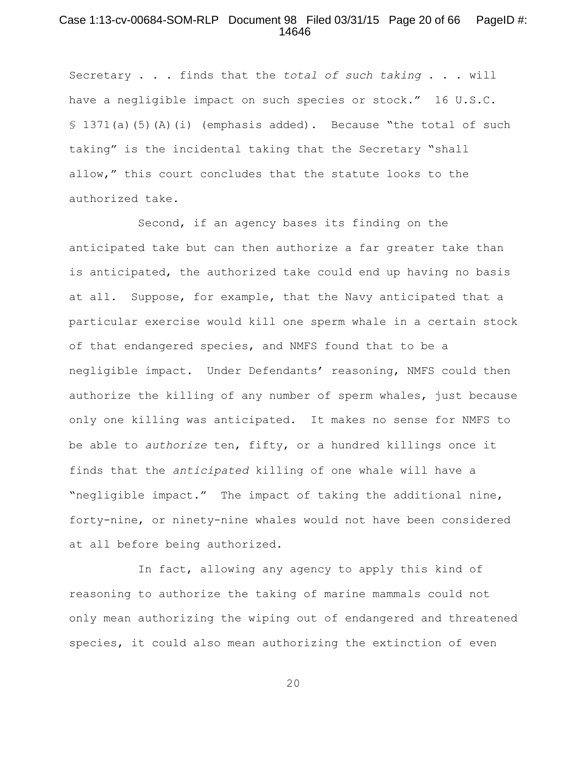## Case 1:13-cv-00684-SOM-RLP Document 98 Filed 03/31/15 Page 20 of 66 PageID #: 14646

Secretary . . . finds that the *total of such taking* . . . will have a negligible impact on such species or stock." 16 U.S.C. § 1371(a)(5)(A)(i) (emphasis added). Because "the total of such taking" is the incidental taking that the Secretary "shall allow," this court concludes that the statute looks to the authorized take.

Second, if an agency bases its finding on the anticipated take but can then authorize a far greater take than is anticipated, the authorized take could end up having no basis at all. Suppose, for example, that the Navy anticipated that a particular exercise would kill one sperm whale in a certain stock of that endangered species, and NMFS found that to be a negligible impact. Under Defendants' reasoning, NMFS could then authorize the killing of any number of sperm whales, just because only one killing was anticipated. It makes no sense for NMFS to be able to *authorize* ten, fifty, or a hundred killings once it finds that the *anticipated* killing of one whale will have a "negligible impact." The impact of taking the additional nine, forty-nine, or ninety-nine whales would not have been considered at all before being authorized.

In fact, allowing any agency to apply this kind of reasoning to authorize the taking of marine mammals could not only mean authorizing the wiping out of endangered and threatened species, it could also mean authorizing the extinction of even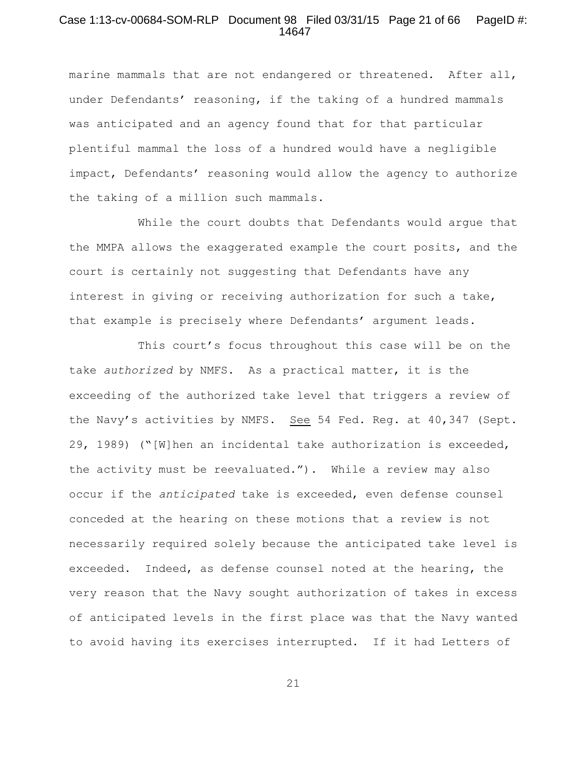## Case 1:13-cv-00684-SOM-RLP Document 98 Filed 03/31/15 Page 21 of 66 PageID #: 14647

marine mammals that are not endangered or threatened. After all, under Defendants' reasoning, if the taking of a hundred mammals was anticipated and an agency found that for that particular plentiful mammal the loss of a hundred would have a negligible impact, Defendants' reasoning would allow the agency to authorize the taking of a million such mammals.

While the court doubts that Defendants would argue that the MMPA allows the exaggerated example the court posits, and the court is certainly not suggesting that Defendants have any interest in giving or receiving authorization for such a take, that example is precisely where Defendants' argument leads.

This court's focus throughout this case will be on the take *authorized* by NMFS. As a practical matter, it is the exceeding of the authorized take level that triggers a review of the Navy's activities by NMFS. See 54 Fed. Reg. at 40,347 (Sept. 29, 1989) ("[W]hen an incidental take authorization is exceeded, the activity must be reevaluated."). While a review may also occur if the *anticipated* take is exceeded, even defense counsel conceded at the hearing on these motions that a review is not necessarily required solely because the anticipated take level is exceeded. Indeed, as defense counsel noted at the hearing, the very reason that the Navy sought authorization of takes in excess of anticipated levels in the first place was that the Navy wanted to avoid having its exercises interrupted. If it had Letters of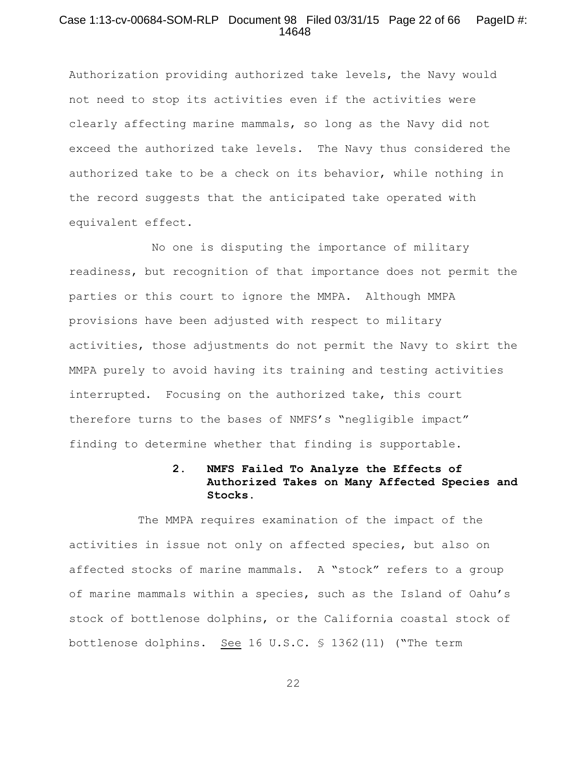## Case 1:13-cv-00684-SOM-RLP Document 98 Filed 03/31/15 Page 22 of 66 PageID #: 14648

Authorization providing authorized take levels, the Navy would not need to stop its activities even if the activities were clearly affecting marine mammals, so long as the Navy did not exceed the authorized take levels. The Navy thus considered the authorized take to be a check on its behavior, while nothing in the record suggests that the anticipated take operated with equivalent effect.

 No one is disputing the importance of military readiness, but recognition of that importance does not permit the parties or this court to ignore the MMPA. Although MMPA provisions have been adjusted with respect to military activities, those adjustments do not permit the Navy to skirt the MMPA purely to avoid having its training and testing activities interrupted. Focusing on the authorized take, this court therefore turns to the bases of NMFS's "negligible impact" finding to determine whether that finding is supportable.

# **2. NMFS Failed To Analyze the Effects of Authorized Takes on Many Affected Species and Stocks.**

The MMPA requires examination of the impact of the activities in issue not only on affected species, but also on affected stocks of marine mammals. A "stock" refers to a group of marine mammals within a species, such as the Island of Oahu's stock of bottlenose dolphins, or the California coastal stock of bottlenose dolphins. See 16 U.S.C. § 1362(11) ("The term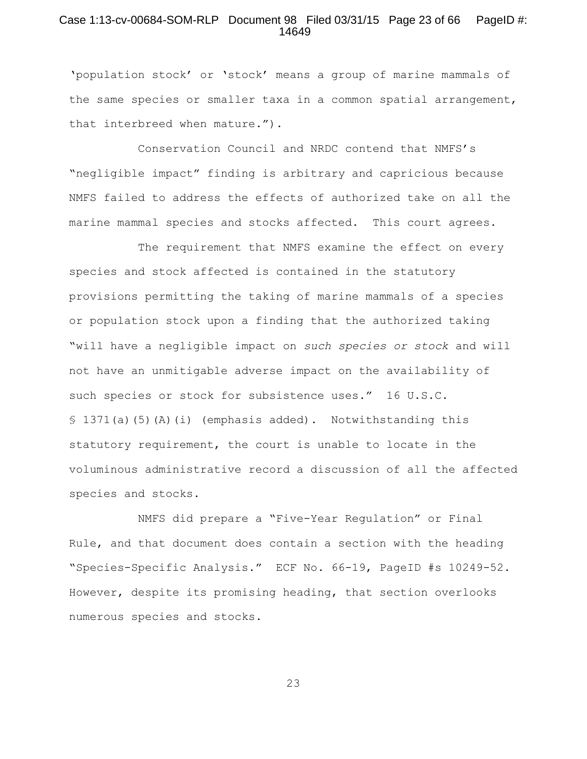#### Case 1:13-cv-00684-SOM-RLP Document 98 Filed 03/31/15 Page 23 of 66 PageID #: 14649

'population stock' or 'stock' means a group of marine mammals of the same species or smaller taxa in a common spatial arrangement, that interbreed when mature.").

Conservation Council and NRDC contend that NMFS's "negligible impact" finding is arbitrary and capricious because NMFS failed to address the effects of authorized take on all the marine mammal species and stocks affected. This court agrees.

The requirement that NMFS examine the effect on every species and stock affected is contained in the statutory provisions permitting the taking of marine mammals of a species or population stock upon a finding that the authorized taking "will have a negligible impact on *such species or stock* and will not have an unmitigable adverse impact on the availability of such species or stock for subsistence uses." 16 U.S.C. § 1371(a)(5)(A)(i) (emphasis added). Notwithstanding this statutory requirement, the court is unable to locate in the voluminous administrative record a discussion of all the affected species and stocks.

NMFS did prepare a "Five-Year Regulation" or Final Rule, and that document does contain a section with the heading "Species-Specific Analysis." ECF No. 66-19, PageID #s 10249-52. However, despite its promising heading, that section overlooks numerous species and stocks.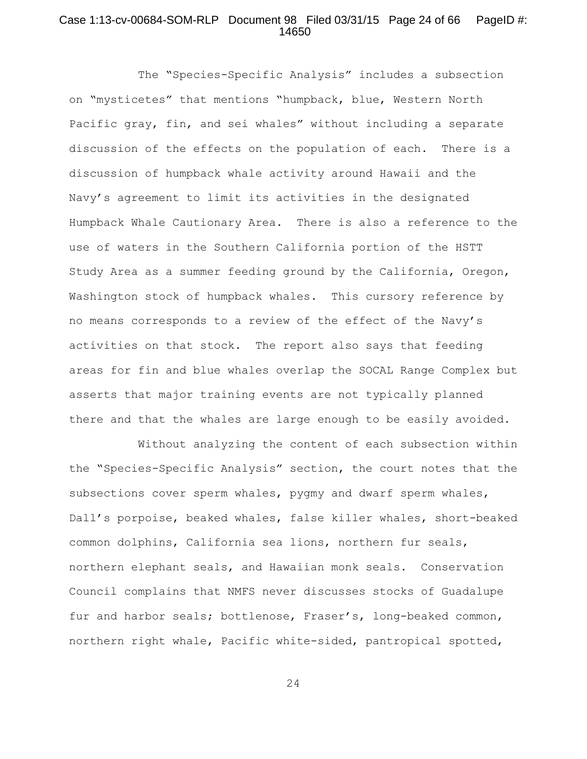## Case 1:13-cv-00684-SOM-RLP Document 98 Filed 03/31/15 Page 24 of 66 PageID #: 14650

The "Species-Specific Analysis" includes a subsection on "mysticetes" that mentions "humpback, blue, Western North Pacific gray, fin, and sei whales" without including a separate discussion of the effects on the population of each. There is a discussion of humpback whale activity around Hawaii and the Navy's agreement to limit its activities in the designated Humpback Whale Cautionary Area. There is also a reference to the use of waters in the Southern California portion of the HSTT Study Area as a summer feeding ground by the California, Oregon, Washington stock of humpback whales. This cursory reference by no means corresponds to a review of the effect of the Navy's activities on that stock. The report also says that feeding areas for fin and blue whales overlap the SOCAL Range Complex but asserts that major training events are not typically planned there and that the whales are large enough to be easily avoided.

Without analyzing the content of each subsection within the "Species-Specific Analysis" section, the court notes that the subsections cover sperm whales, pygmy and dwarf sperm whales, Dall's porpoise, beaked whales, false killer whales, short-beaked common dolphins, California sea lions, northern fur seals, northern elephant seals, and Hawaiian monk seals. Conservation Council complains that NMFS never discusses stocks of Guadalupe fur and harbor seals; bottlenose, Fraser's, long-beaked common, northern right whale, Pacific white-sided, pantropical spotted,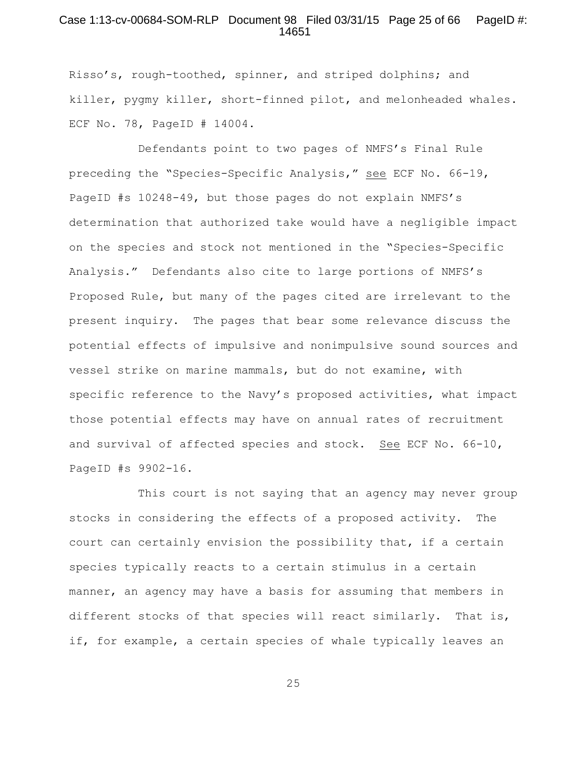#### Case 1:13-cv-00684-SOM-RLP Document 98 Filed 03/31/15 Page 25 of 66 PageID #: 14651

Risso's, rough-toothed, spinner, and striped dolphins; and killer, pygmy killer, short-finned pilot, and melonheaded whales. ECF No. 78, PageID # 14004.

Defendants point to two pages of NMFS's Final Rule preceding the "Species-Specific Analysis," see ECF No. 66-19, PageID #s 10248-49, but those pages do not explain NMFS's determination that authorized take would have a negligible impact on the species and stock not mentioned in the "Species-Specific Analysis." Defendants also cite to large portions of NMFS's Proposed Rule, but many of the pages cited are irrelevant to the present inquiry. The pages that bear some relevance discuss the potential effects of impulsive and nonimpulsive sound sources and vessel strike on marine mammals, but do not examine, with specific reference to the Navy's proposed activities, what impact those potential effects may have on annual rates of recruitment and survival of affected species and stock. See ECF No. 66-10, PageID #s 9902-16.

This court is not saying that an agency may never group stocks in considering the effects of a proposed activity. The court can certainly envision the possibility that, if a certain species typically reacts to a certain stimulus in a certain manner, an agency may have a basis for assuming that members in different stocks of that species will react similarly. That is, if, for example, a certain species of whale typically leaves an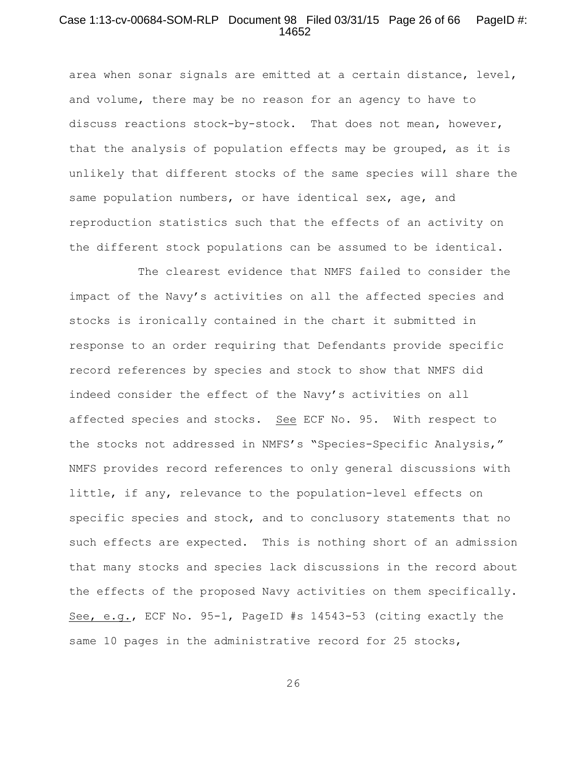## Case 1:13-cv-00684-SOM-RLP Document 98 Filed 03/31/15 Page 26 of 66 PageID #: 14652

area when sonar signals are emitted at a certain distance, level, and volume, there may be no reason for an agency to have to discuss reactions stock-by-stock. That does not mean, however, that the analysis of population effects may be grouped, as it is unlikely that different stocks of the same species will share the same population numbers, or have identical sex, age, and reproduction statistics such that the effects of an activity on the different stock populations can be assumed to be identical.

The clearest evidence that NMFS failed to consider the impact of the Navy's activities on all the affected species and stocks is ironically contained in the chart it submitted in response to an order requiring that Defendants provide specific record references by species and stock to show that NMFS did indeed consider the effect of the Navy's activities on all affected species and stocks. See ECF No. 95. With respect to the stocks not addressed in NMFS's "Species-Specific Analysis," NMFS provides record references to only general discussions with little, if any, relevance to the population-level effects on specific species and stock, and to conclusory statements that no such effects are expected. This is nothing short of an admission that many stocks and species lack discussions in the record about the effects of the proposed Navy activities on them specifically. See, e.g., ECF No. 95-1, PageID #s 14543-53 (citing exactly the same 10 pages in the administrative record for 25 stocks,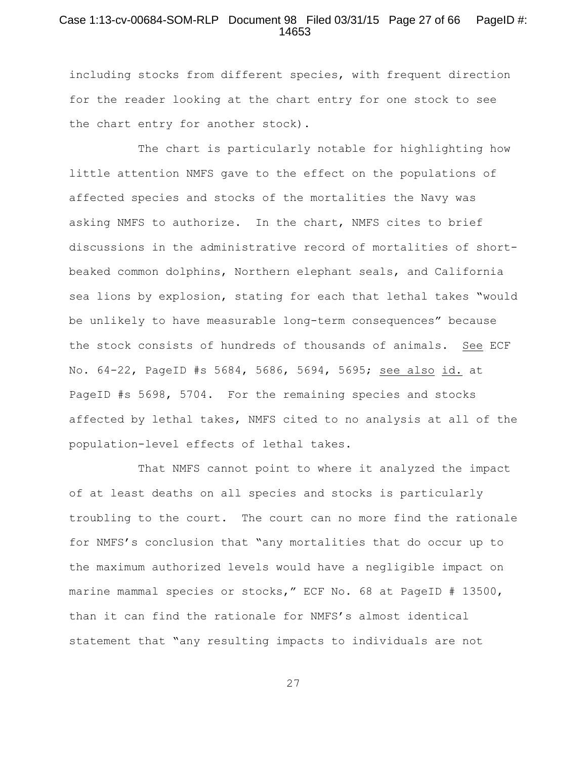## Case 1:13-cv-00684-SOM-RLP Document 98 Filed 03/31/15 Page 27 of 66 PageID #: 14653

including stocks from different species, with frequent direction for the reader looking at the chart entry for one stock to see the chart entry for another stock).

The chart is particularly notable for highlighting how little attention NMFS gave to the effect on the populations of affected species and stocks of the mortalities the Navy was asking NMFS to authorize. In the chart, NMFS cites to brief discussions in the administrative record of mortalities of shortbeaked common dolphins, Northern elephant seals, and California sea lions by explosion, stating for each that lethal takes "would be unlikely to have measurable long-term consequences" because the stock consists of hundreds of thousands of animals. See ECF No. 64-22, PageID #s 5684, 5686, 5694, 5695; see also id. at PageID #s 5698, 5704. For the remaining species and stocks affected by lethal takes, NMFS cited to no analysis at all of the population-level effects of lethal takes.

That NMFS cannot point to where it analyzed the impact of at least deaths on all species and stocks is particularly troubling to the court. The court can no more find the rationale for NMFS's conclusion that "any mortalities that do occur up to the maximum authorized levels would have a negligible impact on marine mammal species or stocks," ECF No. 68 at PageID # 13500, than it can find the rationale for NMFS's almost identical statement that "any resulting impacts to individuals are not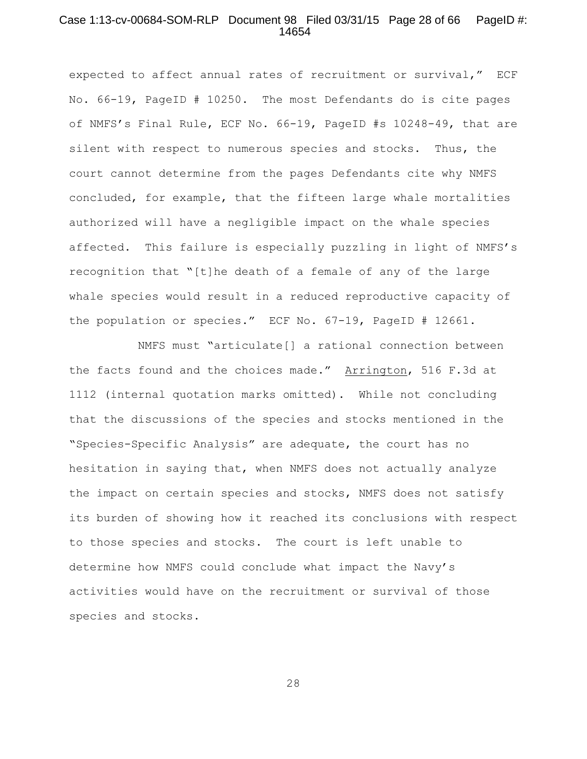#### Case 1:13-cv-00684-SOM-RLP Document 98 Filed 03/31/15 Page 28 of 66 PageID #: 14654

expected to affect annual rates of recruitment or survival," ECF No. 66-19, PageID # 10250. The most Defendants do is cite pages of NMFS's Final Rule, ECF No. 66-19, PageID #s 10248-49, that are silent with respect to numerous species and stocks. Thus, the court cannot determine from the pages Defendants cite why NMFS concluded, for example, that the fifteen large whale mortalities authorized will have a negligible impact on the whale species affected. This failure is especially puzzling in light of NMFS's recognition that "[t]he death of a female of any of the large whale species would result in a reduced reproductive capacity of the population or species." ECF No. 67-19, PageID # 12661.

 NMFS must "articulate[] a rational connection between the facts found and the choices made." Arrington, 516 F.3d at 1112 (internal quotation marks omitted). While not concluding that the discussions of the species and stocks mentioned in the "Species-Specific Analysis" are adequate, the court has no hesitation in saying that, when NMFS does not actually analyze the impact on certain species and stocks, NMFS does not satisfy its burden of showing how it reached its conclusions with respect to those species and stocks. The court is left unable to determine how NMFS could conclude what impact the Navy's activities would have on the recruitment or survival of those species and stocks.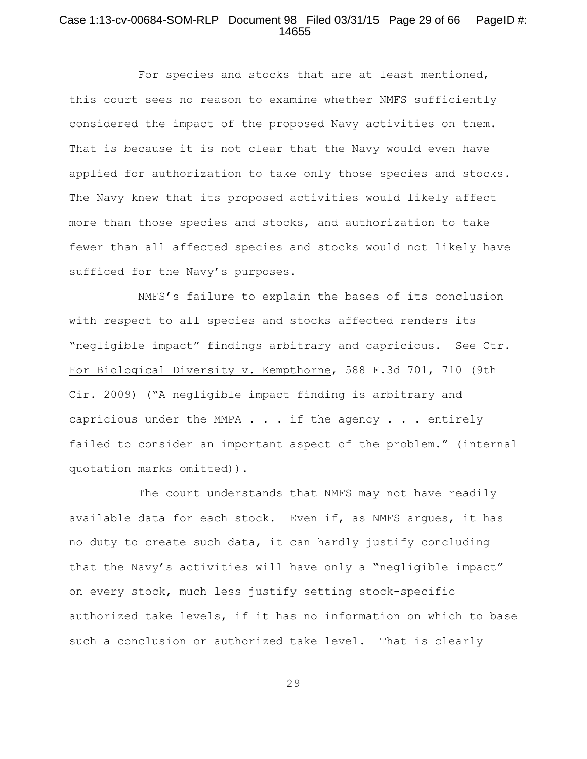## Case 1:13-cv-00684-SOM-RLP Document 98 Filed 03/31/15 Page 29 of 66 PageID #: 14655

For species and stocks that are at least mentioned, this court sees no reason to examine whether NMFS sufficiently considered the impact of the proposed Navy activities on them. That is because it is not clear that the Navy would even have applied for authorization to take only those species and stocks. The Navy knew that its proposed activities would likely affect more than those species and stocks, and authorization to take fewer than all affected species and stocks would not likely have sufficed for the Navy's purposes.

NMFS's failure to explain the bases of its conclusion with respect to all species and stocks affected renders its "negligible impact" findings arbitrary and capricious. See Ctr. For Biological Diversity v. Kempthorne, 588 F.3d 701, 710 (9th Cir. 2009) ("A negligible impact finding is arbitrary and capricious under the MMPA . . . if the agency . . . entirely failed to consider an important aspect of the problem." (internal quotation marks omitted)).

The court understands that NMFS may not have readily available data for each stock. Even if, as NMFS argues, it has no duty to create such data, it can hardly justify concluding that the Navy's activities will have only a "negligible impact" on every stock, much less justify setting stock-specific authorized take levels, if it has no information on which to base such a conclusion or authorized take level. That is clearly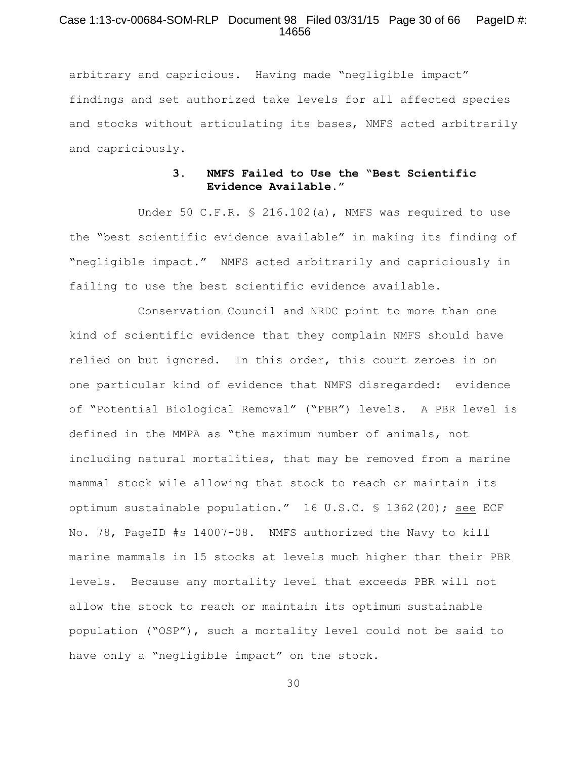## Case 1:13-cv-00684-SOM-RLP Document 98 Filed 03/31/15 Page 30 of 66 PageID #: 14656

arbitrary and capricious. Having made "negligible impact" findings and set authorized take levels for all affected species and stocks without articulating its bases, NMFS acted arbitrarily and capriciously.

# **3. NMFS Failed to Use the "Best Scientific Evidence Available."**

Under 50 C.F.R. § 216.102(a), NMFS was required to use the "best scientific evidence available" in making its finding of "negligible impact." NMFS acted arbitrarily and capriciously in failing to use the best scientific evidence available.

Conservation Council and NRDC point to more than one kind of scientific evidence that they complain NMFS should have relied on but ignored. In this order, this court zeroes in on one particular kind of evidence that NMFS disregarded: evidence of "Potential Biological Removal" ("PBR") levels. A PBR level is defined in the MMPA as "the maximum number of animals, not including natural mortalities, that may be removed from a marine mammal stock wile allowing that stock to reach or maintain its optimum sustainable population." 16 U.S.C. § 1362(20); see ECF No. 78, PageID #s 14007-08. NMFS authorized the Navy to kill marine mammals in 15 stocks at levels much higher than their PBR levels. Because any mortality level that exceeds PBR will not allow the stock to reach or maintain its optimum sustainable population ("OSP"), such a mortality level could not be said to have only a "negligible impact" on the stock.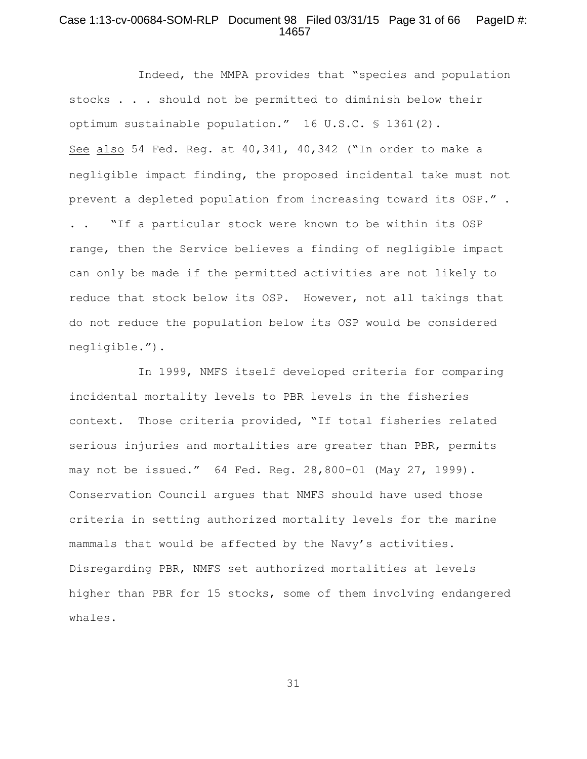## Case 1:13-cv-00684-SOM-RLP Document 98 Filed 03/31/15 Page 31 of 66 PageID #: 14657

Indeed, the MMPA provides that "species and population stocks . . . should not be permitted to diminish below their optimum sustainable population." 16 U.S.C. § 1361(2). See also 54 Fed. Reg. at 40,341, 40,342 ("In order to make a negligible impact finding, the proposed incidental take must not prevent a depleted population from increasing toward its OSP." . . . "If a particular stock were known to be within its OSP range, then the Service believes a finding of negligible impact can only be made if the permitted activities are not likely to reduce that stock below its OSP. However, not all takings that do not reduce the population below its OSP would be considered negligible.").

In 1999, NMFS itself developed criteria for comparing incidental mortality levels to PBR levels in the fisheries context. Those criteria provided, "If total fisheries related serious injuries and mortalities are greater than PBR, permits may not be issued." 64 Fed. Reg. 28,800-01 (May 27, 1999). Conservation Council argues that NMFS should have used those criteria in setting authorized mortality levels for the marine mammals that would be affected by the Navy's activities. Disregarding PBR, NMFS set authorized mortalities at levels higher than PBR for 15 stocks, some of them involving endangered whales.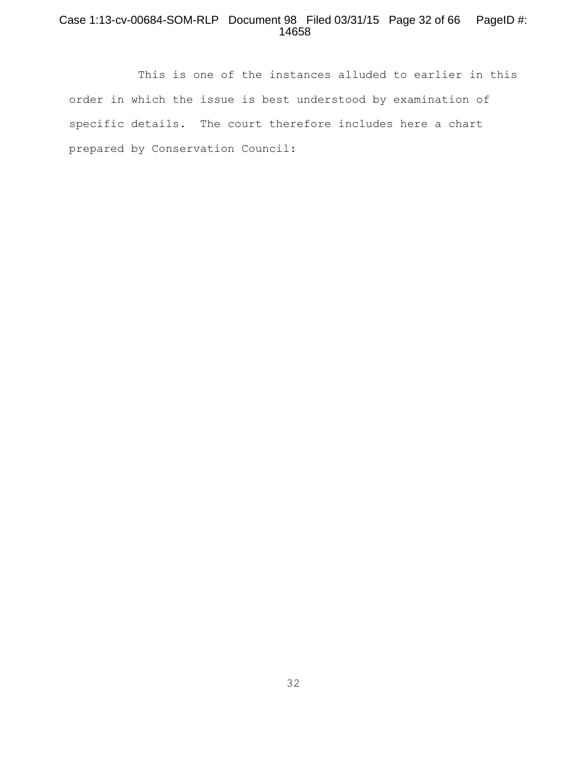# Case 1:13-cv-00684-SOM-RLP Document 98 Filed 03/31/15 Page 32 of 66 PageID #: 14658

This is one of the instances alluded to earlier in this order in which the issue is best understood by examination of specific details. The court therefore includes here a chart prepared by Conservation Council: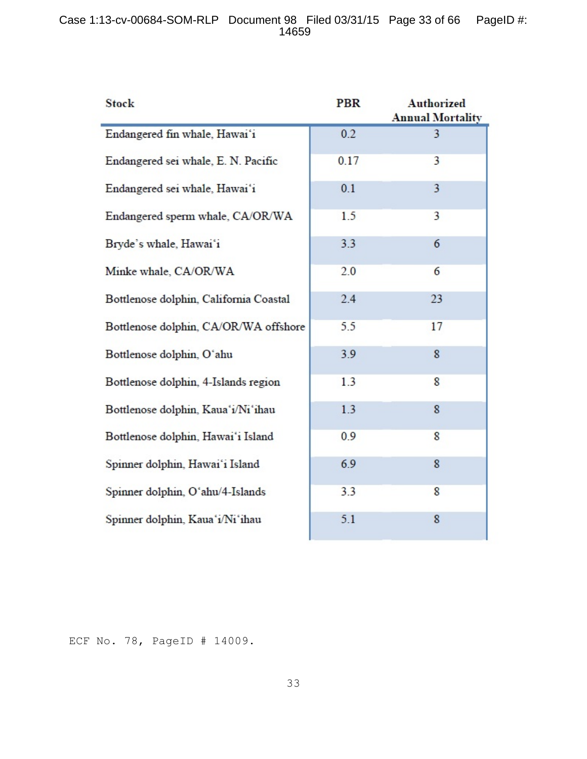# Case 1:13-cv-00684-SOM-RLP Document 98 Filed 03/31/15 Page 33 of 66 PageID #: 14659

| <b>Stock</b>                           | <b>PBR</b> | <b>Authorized</b><br><b>Annual Mortality</b> |
|----------------------------------------|------------|----------------------------------------------|
| Endangered fin whale, Hawai'i          | 0.2        | 3                                            |
| Endangered sei whale, E. N. Pacific    | 0.17       | 3                                            |
| Endangered sei whale, Hawai'i          | 0.1        | 3                                            |
| Endangered sperm whale, CA/OR/WA       | 1.5        | 3                                            |
| Bryde's whale, Hawai'i                 | 3.3        | 6                                            |
| Minke whale, CA/OR/WA                  | 2.0        | 6                                            |
| Bottlenose dolphin, California Coastal | 2.4        | 23                                           |
| Bottlenose dolphin, CA/OR/WA offshore  | 5.5        | 17                                           |
| Bottlenose dolphin, O'ahu              | 3.9        | 8                                            |
| Bottlenose dolphin, 4-Islands region   | 1.3        | 8                                            |
| Bottlenose dolphin, Kaua'i/Ni'ihau     | 1.3        | 8                                            |
| Bottlenose dolphin, Hawai'i Island     | 0.9        | 8                                            |
| Spinner dolphin, Hawai'i Island        | 6.9        | 8                                            |
| Spinner dolphin, O'ahu/4-Islands       | 3.3        | 8                                            |
| Spinner dolphin, Kaua'i/Ni'ihau        | 5.1        | 8                                            |

ECF No. 78, PageID # 14009.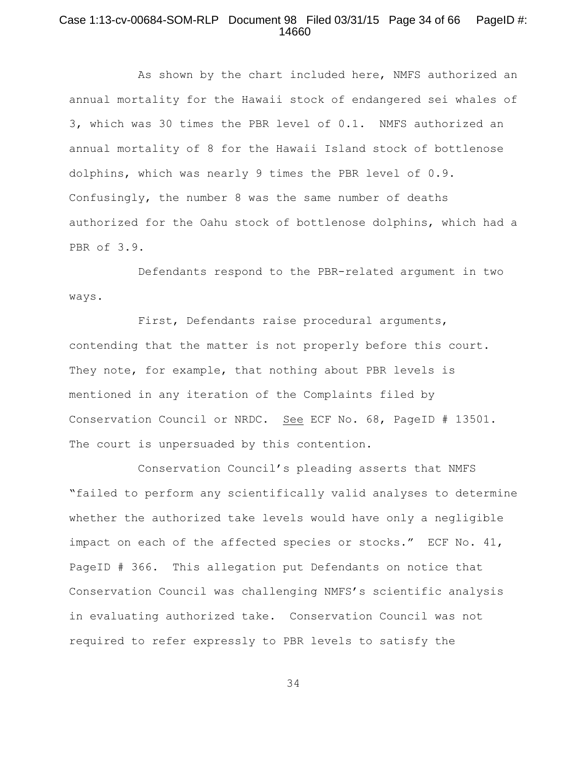## Case 1:13-cv-00684-SOM-RLP Document 98 Filed 03/31/15 Page 34 of 66 PageID #: 14660

As shown by the chart included here, NMFS authorized an annual mortality for the Hawaii stock of endangered sei whales of 3, which was 30 times the PBR level of 0.1. NMFS authorized an annual mortality of 8 for the Hawaii Island stock of bottlenose dolphins, which was nearly 9 times the PBR level of 0.9. Confusingly, the number 8 was the same number of deaths authorized for the Oahu stock of bottlenose dolphins, which had a PBR of 3.9.

Defendants respond to the PBR-related argument in two ways.

First, Defendants raise procedural arguments, contending that the matter is not properly before this court. They note, for example, that nothing about PBR levels is mentioned in any iteration of the Complaints filed by Conservation Council or NRDC. See ECF No. 68, PageID # 13501. The court is unpersuaded by this contention.

Conservation Council's pleading asserts that NMFS "failed to perform any scientifically valid analyses to determine whether the authorized take levels would have only a negligible impact on each of the affected species or stocks." ECF No. 41, PageID # 366. This allegation put Defendants on notice that Conservation Council was challenging NMFS's scientific analysis in evaluating authorized take. Conservation Council was not required to refer expressly to PBR levels to satisfy the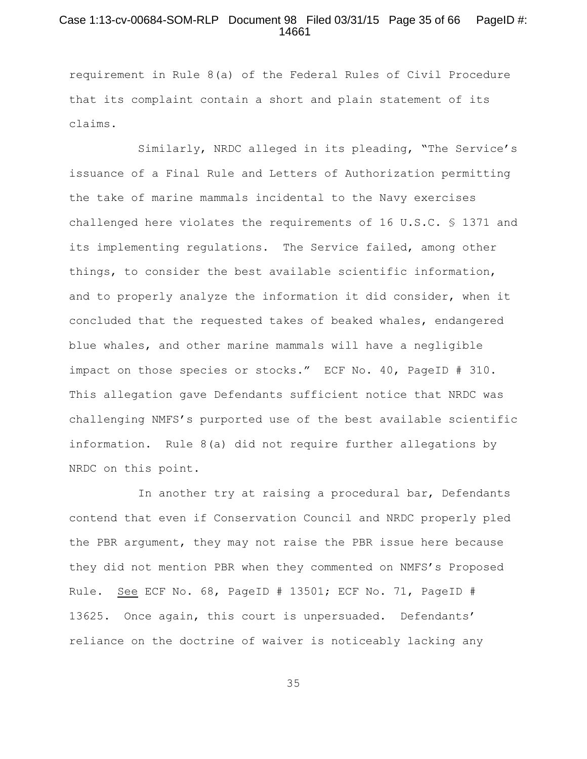## Case 1:13-cv-00684-SOM-RLP Document 98 Filed 03/31/15 Page 35 of 66 PageID #: 14661

requirement in Rule 8(a) of the Federal Rules of Civil Procedure that its complaint contain a short and plain statement of its claims.

Similarly, NRDC alleged in its pleading, "The Service's issuance of a Final Rule and Letters of Authorization permitting the take of marine mammals incidental to the Navy exercises challenged here violates the requirements of 16 U.S.C. § 1371 and its implementing regulations. The Service failed, among other things, to consider the best available scientific information, and to properly analyze the information it did consider, when it concluded that the requested takes of beaked whales, endangered blue whales, and other marine mammals will have a negligible impact on those species or stocks." ECF No. 40, PageID # 310. This allegation gave Defendants sufficient notice that NRDC was challenging NMFS's purported use of the best available scientific information. Rule 8(a) did not require further allegations by NRDC on this point.

In another try at raising a procedural bar, Defendants contend that even if Conservation Council and NRDC properly pled the PBR argument, they may not raise the PBR issue here because they did not mention PBR when they commented on NMFS's Proposed Rule. See ECF No. 68, PageID # 13501; ECF No. 71, PageID # 13625. Once again, this court is unpersuaded. Defendants' reliance on the doctrine of waiver is noticeably lacking any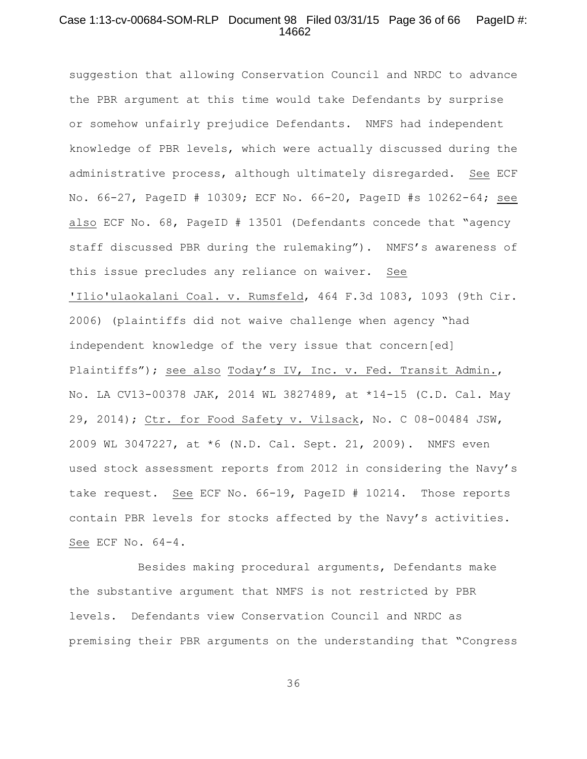## Case 1:13-cv-00684-SOM-RLP Document 98 Filed 03/31/15 Page 36 of 66 PageID #: 14662

suggestion that allowing Conservation Council and NRDC to advance the PBR argument at this time would take Defendants by surprise or somehow unfairly prejudice Defendants. NMFS had independent knowledge of PBR levels, which were actually discussed during the administrative process, although ultimately disregarded. See ECF No. 66-27, PageID # 10309; ECF No. 66-20, PageID #s 10262-64; see also ECF No. 68, PageID # 13501 (Defendants concede that "agency staff discussed PBR during the rulemaking"). NMFS's awareness of this issue precludes any reliance on waiver. See 'Ilio'ulaokalani Coal. v. Rumsfeld, 464 F.3d 1083, 1093 (9th Cir. 2006) (plaintiffs did not waive challenge when agency "had independent knowledge of the very issue that concern[ed] Plaintiffs"); see also Today's IV, Inc. v. Fed. Transit Admin., No. LA CV13-00378 JAK, 2014 WL 3827489, at \*14-15 (C.D. Cal. May 29, 2014); Ctr. for Food Safety v. Vilsack, No. C 08-00484 JSW, 2009 WL 3047227, at \*6 (N.D. Cal. Sept. 21, 2009). NMFS even used stock assessment reports from 2012 in considering the Navy's take request. See ECF No. 66-19, PageID # 10214. Those reports contain PBR levels for stocks affected by the Navy's activities. See ECF No. 64-4.

Besides making procedural arguments, Defendants make the substantive argument that NMFS is not restricted by PBR levels. Defendants view Conservation Council and NRDC as premising their PBR arguments on the understanding that "Congress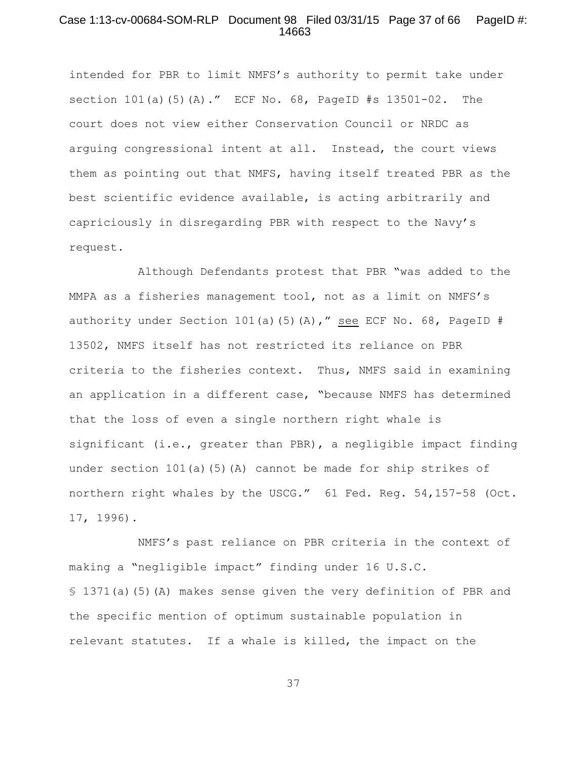## Case 1:13-cv-00684-SOM-RLP Document 98 Filed 03/31/15 Page 37 of 66 PageID #: 14663

intended for PBR to limit NMFS's authority to permit take under section  $101(a)$  (5)(A)." ECF No. 68, PageID #s  $13501-02$ . The court does not view either Conservation Council or NRDC as arguing congressional intent at all. Instead, the court views them as pointing out that NMFS, having itself treated PBR as the best scientific evidence available, is acting arbitrarily and capriciously in disregarding PBR with respect to the Navy's request.

 Although Defendants protest that PBR "was added to the MMPA as a fisheries management tool, not as a limit on NMFS's authority under Section 101(a)(5)(A)," see ECF No. 68, PageID # 13502, NMFS itself has not restricted its reliance on PBR criteria to the fisheries context. Thus, NMFS said in examining an application in a different case, "because NMFS has determined that the loss of even a single northern right whale is significant (i.e., greater than PBR), a negligible impact finding under section 101(a)(5)(A) cannot be made for ship strikes of northern right whales by the USCG." 61 Fed. Reg. 54,157-58 (Oct. 17, 1996).

NMFS's past reliance on PBR criteria in the context of making a "negligible impact" finding under 16 U.S.C. § 1371(a)(5)(A) makes sense given the very definition of PBR and the specific mention of optimum sustainable population in relevant statutes. If a whale is killed, the impact on the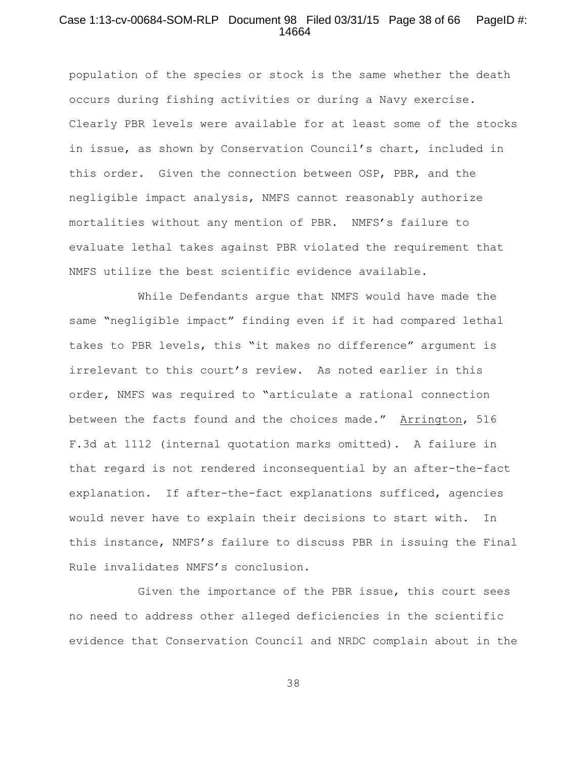## Case 1:13-cv-00684-SOM-RLP Document 98 Filed 03/31/15 Page 38 of 66 PageID #: 14664

population of the species or stock is the same whether the death occurs during fishing activities or during a Navy exercise. Clearly PBR levels were available for at least some of the stocks in issue, as shown by Conservation Council's chart, included in this order. Given the connection between OSP, PBR, and the negligible impact analysis, NMFS cannot reasonably authorize mortalities without any mention of PBR. NMFS's failure to evaluate lethal takes against PBR violated the requirement that NMFS utilize the best scientific evidence available.

While Defendants argue that NMFS would have made the same "negligible impact" finding even if it had compared lethal takes to PBR levels, this "it makes no difference" argument is irrelevant to this court's review. As noted earlier in this order, NMFS was required to "articulate a rational connection between the facts found and the choices made." Arrington, 516 F.3d at 1112 (internal quotation marks omitted). A failure in that regard is not rendered inconsequential by an after-the-fact explanation. If after-the-fact explanations sufficed, agencies would never have to explain their decisions to start with. In this instance, NMFS's failure to discuss PBR in issuing the Final Rule invalidates NMFS's conclusion.

Given the importance of the PBR issue, this court sees no need to address other alleged deficiencies in the scientific evidence that Conservation Council and NRDC complain about in the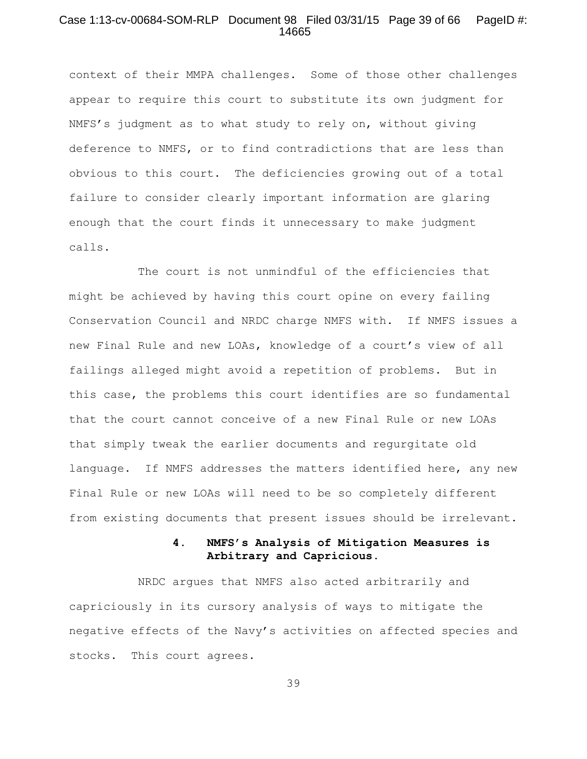## Case 1:13-cv-00684-SOM-RLP Document 98 Filed 03/31/15 Page 39 of 66 PageID #: 14665

context of their MMPA challenges. Some of those other challenges appear to require this court to substitute its own judgment for NMFS's judgment as to what study to rely on, without giving deference to NMFS, or to find contradictions that are less than obvious to this court. The deficiencies growing out of a total failure to consider clearly important information are glaring enough that the court finds it unnecessary to make judgment calls.

The court is not unmindful of the efficiencies that might be achieved by having this court opine on every failing Conservation Council and NRDC charge NMFS with. If NMFS issues a new Final Rule and new LOAs, knowledge of a court's view of all failings alleged might avoid a repetition of problems. But in this case, the problems this court identifies are so fundamental that the court cannot conceive of a new Final Rule or new LOAs that simply tweak the earlier documents and regurgitate old language. If NMFS addresses the matters identified here, any new Final Rule or new LOAs will need to be so completely different from existing documents that present issues should be irrelevant.

# **4. NMFS's Analysis of Mitigation Measures is Arbitrary and Capricious.**

NRDC argues that NMFS also acted arbitrarily and capriciously in its cursory analysis of ways to mitigate the negative effects of the Navy's activities on affected species and stocks. This court agrees.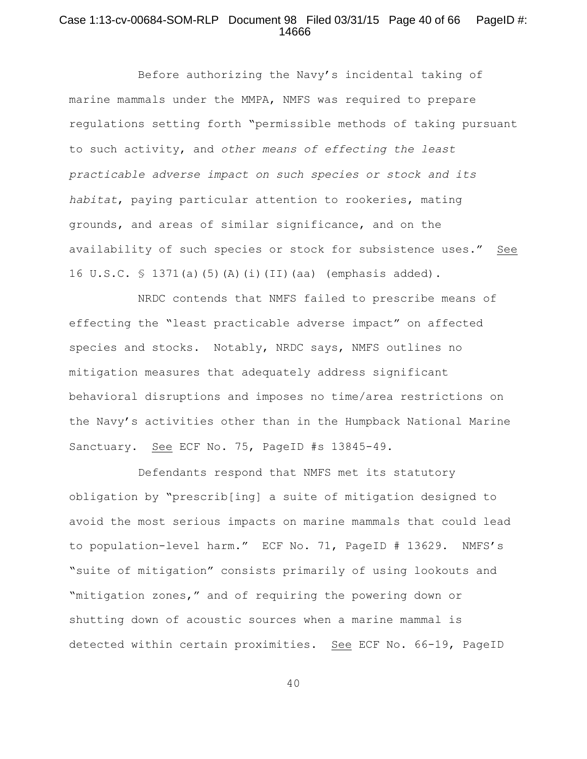## Case 1:13-cv-00684-SOM-RLP Document 98 Filed 03/31/15 Page 40 of 66 PageID #: 14666

Before authorizing the Navy's incidental taking of marine mammals under the MMPA, NMFS was required to prepare regulations setting forth "permissible methods of taking pursuant to such activity, and *other means of effecting the least practicable adverse impact on such species or stock and its habitat*, paying particular attention to rookeries, mating grounds, and areas of similar significance, and on the availability of such species or stock for subsistence uses." See 16 U.S.C. § 1371(a)(5)(A)(i)(II)(aa) (emphasis added).

NRDC contends that NMFS failed to prescribe means of effecting the "least practicable adverse impact" on affected species and stocks. Notably, NRDC says, NMFS outlines no mitigation measures that adequately address significant behavioral disruptions and imposes no time/area restrictions on the Navy's activities other than in the Humpback National Marine Sanctuary**.** See ECF No. 75, PageID #s 13845-49.

Defendants respond that NMFS met its statutory obligation by "prescrib[ing] a suite of mitigation designed to avoid the most serious impacts on marine mammals that could lead to population-level harm." ECF No. 71, PageID # 13629. NMFS's "suite of mitigation" consists primarily of using lookouts and "mitigation zones," and of requiring the powering down or shutting down of acoustic sources when a marine mammal is detected within certain proximities. See ECF No. 66-19, PageID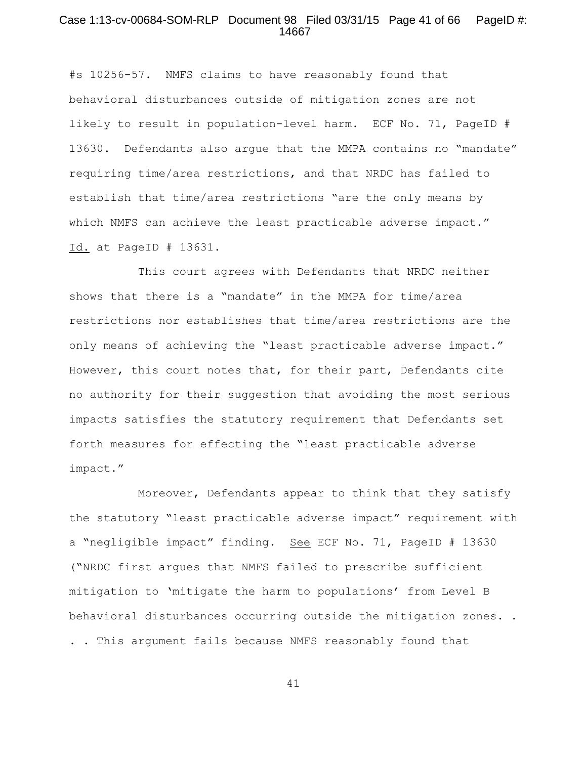#### Case 1:13-cv-00684-SOM-RLP Document 98 Filed 03/31/15 Page 41 of 66 PageID #: 14667

#s 10256-57. NMFS claims to have reasonably found that behavioral disturbances outside of mitigation zones are not likely to result in population-level harm. ECF No. 71, PageID # 13630. Defendants also argue that the MMPA contains no "mandate" requiring time/area restrictions, and that NRDC has failed to establish that time/area restrictions "are the only means by which NMFS can achieve the least practicable adverse impact." Id. at PageID # 13631.

This court agrees with Defendants that NRDC neither shows that there is a "mandate" in the MMPA for time/area restrictions nor establishes that time/area restrictions are the only means of achieving the "least practicable adverse impact." However, this court notes that, for their part, Defendants cite no authority for their suggestion that avoiding the most serious impacts satisfies the statutory requirement that Defendants set forth measures for effecting the "least practicable adverse impact."

Moreover, Defendants appear to think that they satisfy the statutory "least practicable adverse impact" requirement with a "negligible impact" finding. See ECF No. 71, PageID # 13630 ("NRDC first argues that NMFS failed to prescribe sufficient mitigation to 'mitigate the harm to populations' from Level B behavioral disturbances occurring outside the mitigation zones. . . . This argument fails because NMFS reasonably found that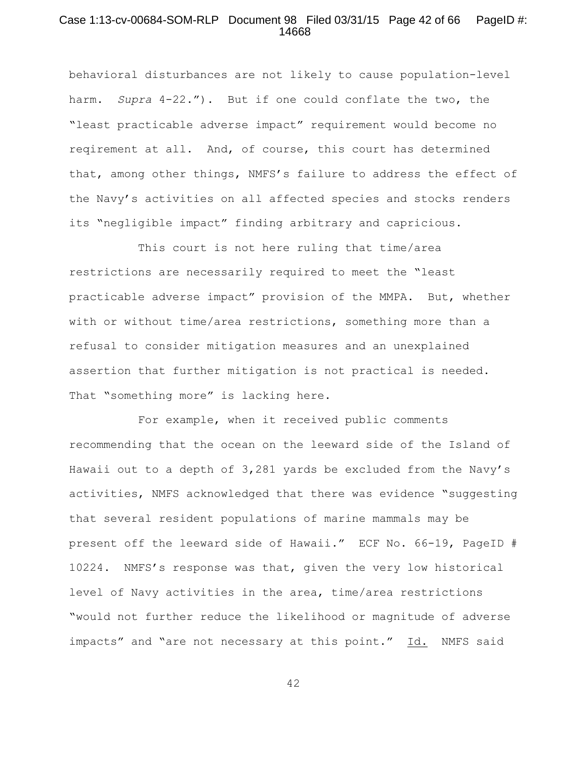## Case 1:13-cv-00684-SOM-RLP Document 98 Filed 03/31/15 Page 42 of 66 PageID #: 14668

behavioral disturbances are not likely to cause population-level harm. *Supra* 4-22."). But if one could conflate the two, the "least practicable adverse impact" requirement would become no reqirement at all. And, of course, this court has determined that, among other things, NMFS's failure to address the effect of the Navy's activities on all affected species and stocks renders its "negligible impact" finding arbitrary and capricious.

This court is not here ruling that time/area restrictions are necessarily required to meet the "least practicable adverse impact" provision of the MMPA. But, whether with or without time/area restrictions, something more than a refusal to consider mitigation measures and an unexplained assertion that further mitigation is not practical is needed. That "something more" is lacking here.

For example, when it received public comments recommending that the ocean on the leeward side of the Island of Hawaii out to a depth of 3,281 yards be excluded from the Navy's activities, NMFS acknowledged that there was evidence "suggesting that several resident populations of marine mammals may be present off the leeward side of Hawaii." ECF No. 66-19, PageID # 10224. NMFS's response was that, given the very low historical level of Navy activities in the area, time/area restrictions "would not further reduce the likelihood or magnitude of adverse impacts" and "are not necessary at this point." Id. NMFS said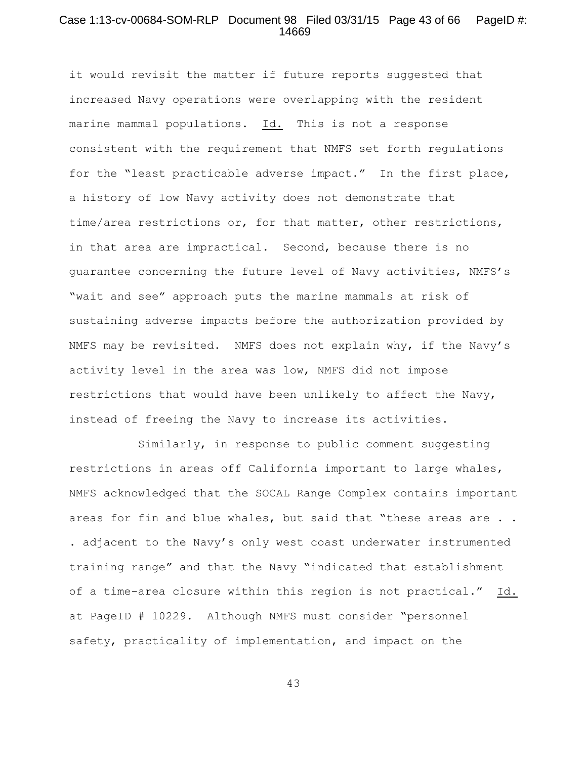## Case 1:13-cv-00684-SOM-RLP Document 98 Filed 03/31/15 Page 43 of 66 PageID #: 14669

it would revisit the matter if future reports suggested that increased Navy operations were overlapping with the resident marine mammal populations. Id. This is not a response consistent with the requirement that NMFS set forth regulations for the "least practicable adverse impact." In the first place, a history of low Navy activity does not demonstrate that time/area restrictions or, for that matter, other restrictions, in that area are impractical. Second, because there is no guarantee concerning the future level of Navy activities, NMFS's "wait and see" approach puts the marine mammals at risk of sustaining adverse impacts before the authorization provided by NMFS may be revisited. NMFS does not explain why, if the Navy's activity level in the area was low, NMFS did not impose restrictions that would have been unlikely to affect the Navy, instead of freeing the Navy to increase its activities.

Similarly, in response to public comment suggesting restrictions in areas off California important to large whales, NMFS acknowledged that the SOCAL Range Complex contains important areas for fin and blue whales, but said that "these areas are . . . adjacent to the Navy's only west coast underwater instrumented training range" and that the Navy "indicated that establishment of a time-area closure within this region is not practical." Id. at PageID # 10229. Although NMFS must consider "personnel safety, practicality of implementation, and impact on the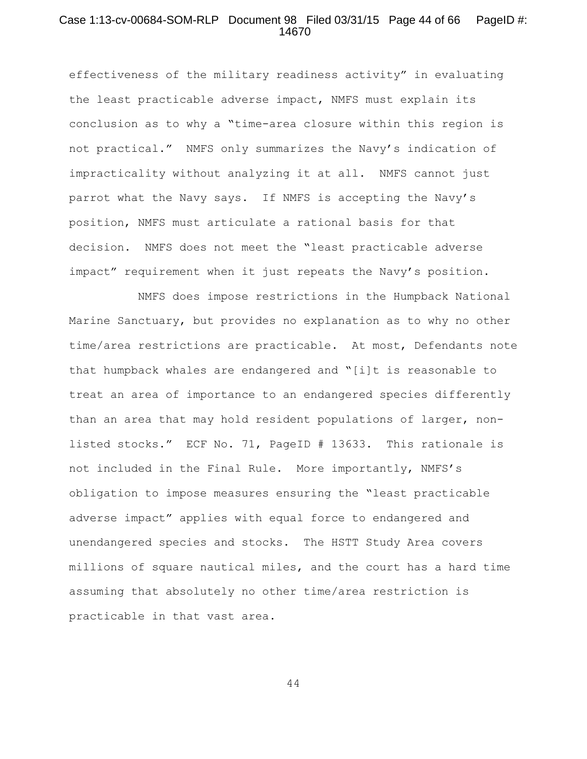## Case 1:13-cv-00684-SOM-RLP Document 98 Filed 03/31/15 Page 44 of 66 PageID #: 14670

effectiveness of the military readiness activity" in evaluating the least practicable adverse impact, NMFS must explain its conclusion as to why a "time-area closure within this region is not practical." NMFS only summarizes the Navy's indication of impracticality without analyzing it at all. NMFS cannot just parrot what the Navy says. If NMFS is accepting the Navy's position, NMFS must articulate a rational basis for that decision. NMFS does not meet the "least practicable adverse impact" requirement when it just repeats the Navy's position.

NMFS does impose restrictions in the Humpback National Marine Sanctuary, but provides no explanation as to why no other time/area restrictions are practicable. At most, Defendants note that humpback whales are endangered and "[i]t is reasonable to treat an area of importance to an endangered species differently than an area that may hold resident populations of larger, nonlisted stocks." ECF No. 71, PageID # 13633. This rationale is not included in the Final Rule. More importantly, NMFS's obligation to impose measures ensuring the "least practicable adverse impact" applies with equal force to endangered and unendangered species and stocks. The HSTT Study Area covers millions of square nautical miles, and the court has a hard time assuming that absolutely no other time/area restriction is practicable in that vast area.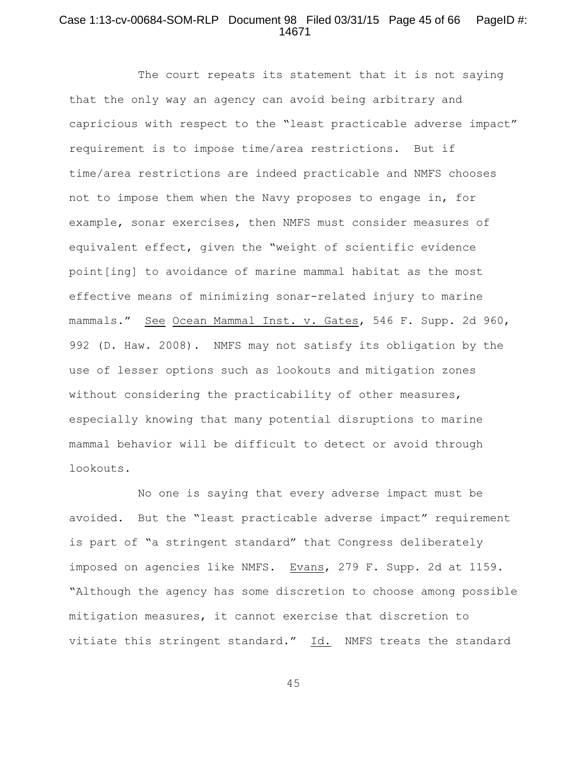## Case 1:13-cv-00684-SOM-RLP Document 98 Filed 03/31/15 Page 45 of 66 PageID #: 14671

The court repeats its statement that it is not saying that the only way an agency can avoid being arbitrary and capricious with respect to the "least practicable adverse impact" requirement is to impose time/area restrictions. But if time/area restrictions are indeed practicable and NMFS chooses not to impose them when the Navy proposes to engage in, for example, sonar exercises, then NMFS must consider measures of equivalent effect, given the "weight of scientific evidence point[ing] to avoidance of marine mammal habitat as the most effective means of minimizing sonar-related injury to marine mammals." See Ocean Mammal Inst. v. Gates, 546 F. Supp. 2d 960, 992 (D. Haw. 2008). NMFS may not satisfy its obligation by the use of lesser options such as lookouts and mitigation zones without considering the practicability of other measures, especially knowing that many potential disruptions to marine mammal behavior will be difficult to detect or avoid through lookouts.

No one is saying that every adverse impact must be avoided. But the "least practicable adverse impact" requirement is part of "a stringent standard" that Congress deliberately imposed on agencies like NMFS. Evans, 279 F. Supp. 2d at 1159. "Although the agency has some discretion to choose among possible mitigation measures, it cannot exercise that discretion to vitiate this stringent standard." Id. NMFS treats the standard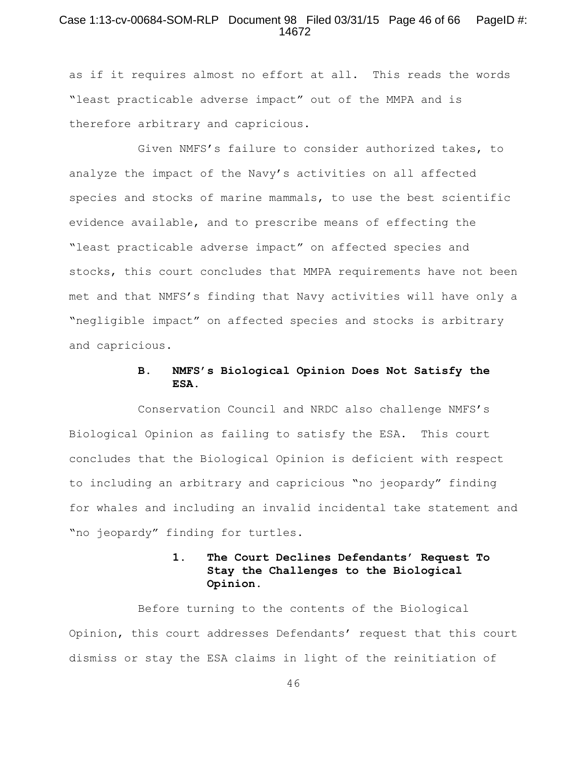## Case 1:13-cv-00684-SOM-RLP Document 98 Filed 03/31/15 Page 46 of 66 PageID #: 14672

as if it requires almost no effort at all. This reads the words "least practicable adverse impact" out of the MMPA and is therefore arbitrary and capricious.

Given NMFS's failure to consider authorized takes, to analyze the impact of the Navy's activities on all affected species and stocks of marine mammals, to use the best scientific evidence available, and to prescribe means of effecting the "least practicable adverse impact" on affected species and stocks, this court concludes that MMPA requirements have not been met and that NMFS's finding that Navy activities will have only a "negligible impact" on affected species and stocks is arbitrary and capricious.

# **B. NMFS's Biological Opinion Does Not Satisfy the ESA.**

Conservation Council and NRDC also challenge NMFS's Biological Opinion as failing to satisfy the ESA. This court concludes that the Biological Opinion is deficient with respect to including an arbitrary and capricious "no jeopardy" finding for whales and including an invalid incidental take statement and "no jeopardy" finding for turtles.

# **1. The Court Declines Defendants' Request To Stay the Challenges to the Biological Opinion.**

Before turning to the contents of the Biological Opinion, this court addresses Defendants' request that this court dismiss or stay the ESA claims in light of the reinitiation of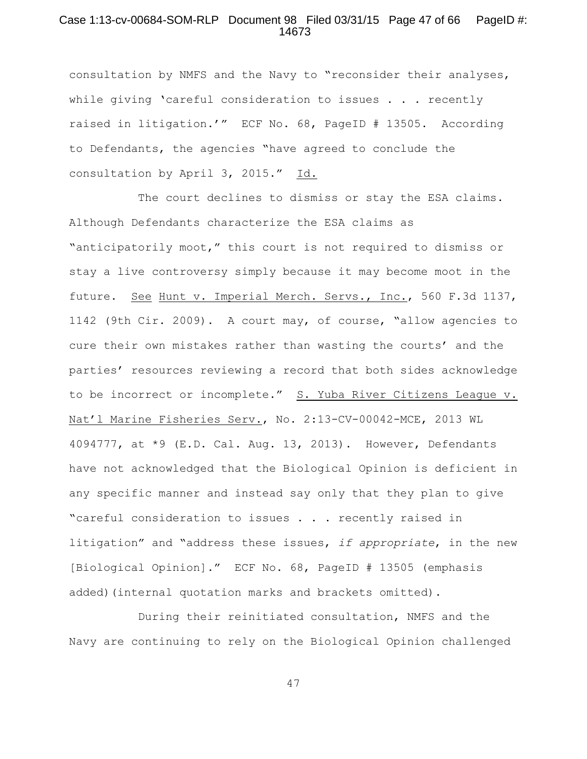## Case 1:13-cv-00684-SOM-RLP Document 98 Filed 03/31/15 Page 47 of 66 PageID #: 14673

consultation by NMFS and the Navy to "reconsider their analyses, while giving 'careful consideration to issues . . . recently raised in litigation.'" ECF No. 68, PageID # 13505. According to Defendants, the agencies "have agreed to conclude the consultation by April 3, 2015." Id.

The court declines to dismiss or stay the ESA claims. Although Defendants characterize the ESA claims as "anticipatorily moot," this court is not required to dismiss or stay a live controversy simply because it may become moot in the future. See Hunt v. Imperial Merch. Servs., Inc., 560 F.3d 1137, 1142 (9th Cir. 2009). A court may, of course, "allow agencies to cure their own mistakes rather than wasting the courts' and the parties' resources reviewing a record that both sides acknowledge to be incorrect or incomplete." S. Yuba River Citizens League v. Nat'l Marine Fisheries Serv., No. 2:13-CV-00042-MCE, 2013 WL 4094777, at \*9 (E.D. Cal. Aug. 13, 2013). However, Defendants have not acknowledged that the Biological Opinion is deficient in any specific manner and instead say only that they plan to give "careful consideration to issues . . . recently raised in litigation" and "address these issues, *if appropriate*, in the new [Biological Opinion]." ECF No. 68, PageID # 13505 (emphasis added)(internal quotation marks and brackets omitted).

During their reinitiated consultation, NMFS and the Navy are continuing to rely on the Biological Opinion challenged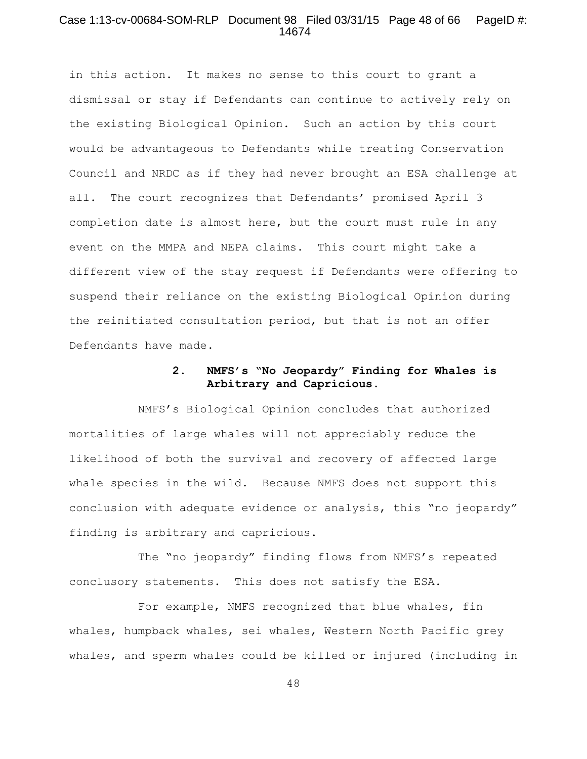# Case 1:13-cv-00684-SOM-RLP Document 98 Filed 03/31/15 Page 48 of 66 PageID #: 14674

in this action. It makes no sense to this court to grant a dismissal or stay if Defendants can continue to actively rely on the existing Biological Opinion. Such an action by this court would be advantageous to Defendants while treating Conservation Council and NRDC as if they had never brought an ESA challenge at all. The court recognizes that Defendants' promised April 3 completion date is almost here, but the court must rule in any event on the MMPA and NEPA claims. This court might take a different view of the stay request if Defendants were offering to suspend their reliance on the existing Biological Opinion during the reinitiated consultation period, but that is not an offer Defendants have made.

# **2. NMFS's "No Jeopardy" Finding for Whales is Arbitrary and Capricious.**

NMFS's Biological Opinion concludes that authorized mortalities of large whales will not appreciably reduce the likelihood of both the survival and recovery of affected large whale species in the wild. Because NMFS does not support this conclusion with adequate evidence or analysis, this "no jeopardy" finding is arbitrary and capricious.

The "no jeopardy" finding flows from NMFS's repeated conclusory statements. This does not satisfy the ESA.

For example, NMFS recognized that blue whales, fin whales, humpback whales, sei whales, Western North Pacific grey whales, and sperm whales could be killed or injured (including in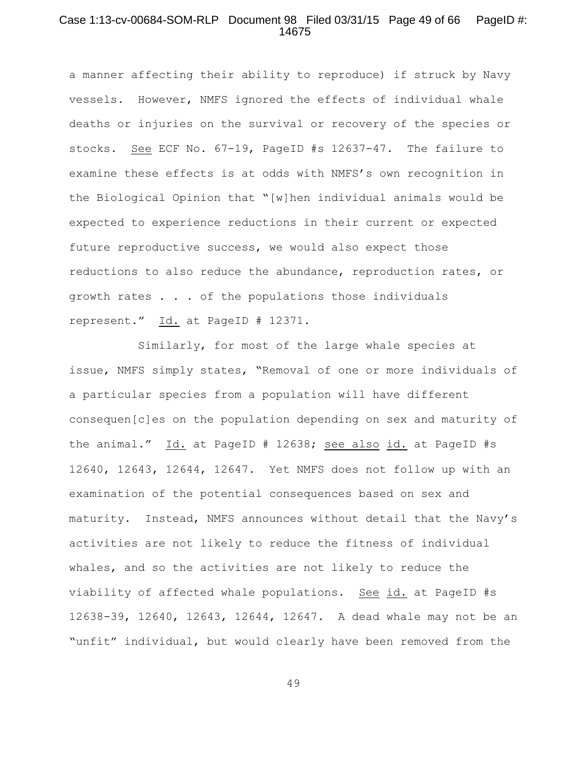## Case 1:13-cv-00684-SOM-RLP Document 98 Filed 03/31/15 Page 49 of 66 PageID #: 14675

a manner affecting their ability to reproduce) if struck by Navy vessels. However, NMFS ignored the effects of individual whale deaths or injuries on the survival or recovery of the species or stocks. See ECF No. 67-19, PageID #s 12637-47. The failure to examine these effects is at odds with NMFS's own recognition in the Biological Opinion that "[w]hen individual animals would be expected to experience reductions in their current or expected future reproductive success, we would also expect those reductions to also reduce the abundance, reproduction rates, or growth rates . . . of the populations those individuals represent." Id. at PageID # 12371.

Similarly, for most of the large whale species at issue, NMFS simply states, "Removal of one or more individuals of a particular species from a population will have different consequen[c]es on the population depending on sex and maturity of the animal." Id. at PageID # 12638; see also id. at PageID #s 12640, 12643, 12644, 12647. Yet NMFS does not follow up with an examination of the potential consequences based on sex and maturity. Instead, NMFS announces without detail that the Navy's activities are not likely to reduce the fitness of individual whales, and so the activities are not likely to reduce the viability of affected whale populations. See id. at PageID #s 12638-39, 12640, 12643, 12644, 12647. A dead whale may not be an "unfit" individual, but would clearly have been removed from the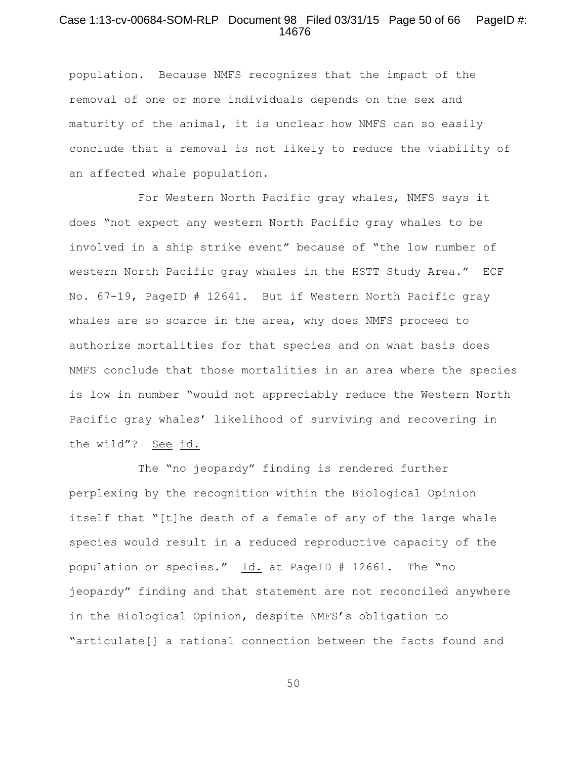## Case 1:13-cv-00684-SOM-RLP Document 98 Filed 03/31/15 Page 50 of 66 PageID #: 14676

population. Because NMFS recognizes that the impact of the removal of one or more individuals depends on the sex and maturity of the animal, it is unclear how NMFS can so easily conclude that a removal is not likely to reduce the viability of an affected whale population.

For Western North Pacific gray whales, NMFS says it does "not expect any western North Pacific gray whales to be involved in a ship strike event" because of "the low number of western North Pacific gray whales in the HSTT Study Area." ECF No. 67-19, PageID # 12641. But if Western North Pacific gray whales are so scarce in the area, why does NMFS proceed to authorize mortalities for that species and on what basis does NMFS conclude that those mortalities in an area where the species is low in number "would not appreciably reduce the Western North Pacific gray whales' likelihood of surviving and recovering in the wild"? See id.

The "no jeopardy" finding is rendered further perplexing by the recognition within the Biological Opinion itself that "[t]he death of a female of any of the large whale species would result in a reduced reproductive capacity of the population or species." Id. at PageID # 12661. The "no jeopardy" finding and that statement are not reconciled anywhere in the Biological Opinion, despite NMFS's obligation to "articulate[] a rational connection between the facts found and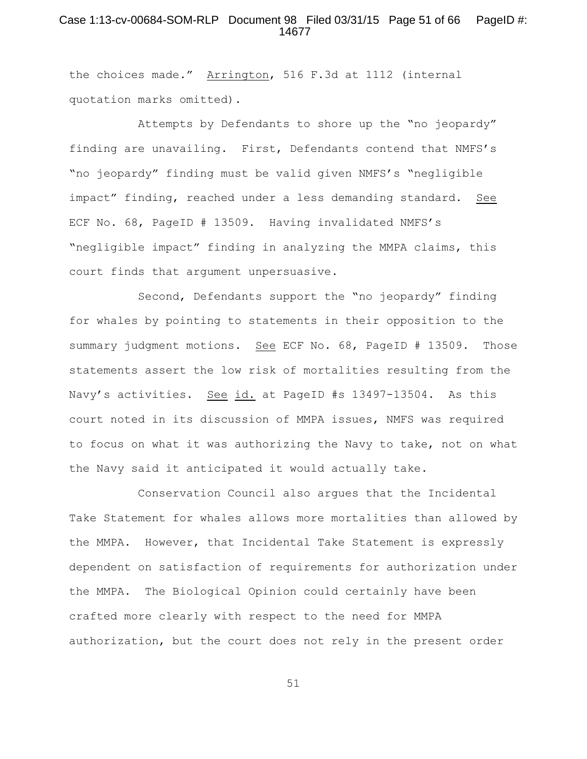# Case 1:13-cv-00684-SOM-RLP Document 98 Filed 03/31/15 Page 51 of 66 PageID #: 14677

the choices made." Arrington, 516 F.3d at 1112 (internal quotation marks omitted).

Attempts by Defendants to shore up the "no jeopardy" finding are unavailing. First, Defendants contend that NMFS's "no jeopardy" finding must be valid given NMFS's "negligible impact" finding, reached under a less demanding standard. See ECF No. 68, PageID # 13509. Having invalidated NMFS's "negligible impact" finding in analyzing the MMPA claims, this court finds that argument unpersuasive.

Second, Defendants support the "no jeopardy" finding for whales by pointing to statements in their opposition to the summary judgment motions. See ECF No. 68, PageID # 13509. Those statements assert the low risk of mortalities resulting from the Navy's activities. See id. at PageID #s 13497-13504. As this court noted in its discussion of MMPA issues, NMFS was required to focus on what it was authorizing the Navy to take, not on what the Navy said it anticipated it would actually take.

Conservation Council also argues that the Incidental Take Statement for whales allows more mortalities than allowed by the MMPA. However, that Incidental Take Statement is expressly dependent on satisfaction of requirements for authorization under the MMPA. The Biological Opinion could certainly have been crafted more clearly with respect to the need for MMPA authorization, but the court does not rely in the present order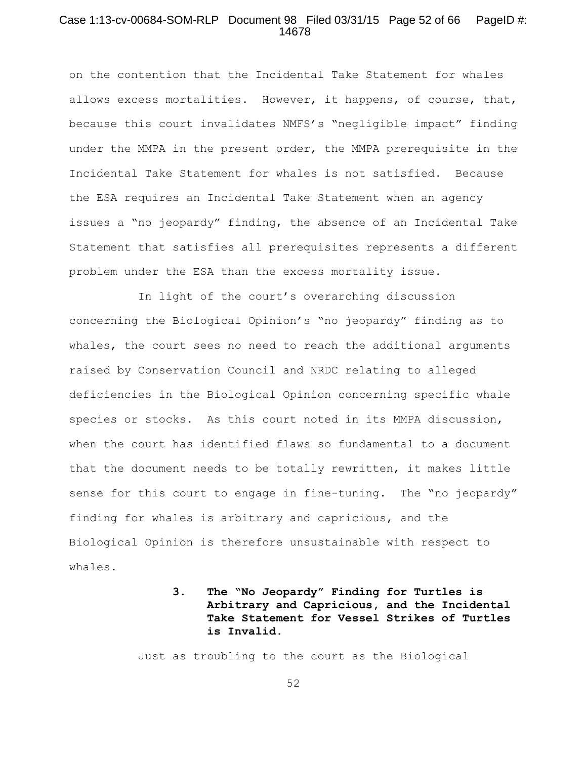## Case 1:13-cv-00684-SOM-RLP Document 98 Filed 03/31/15 Page 52 of 66 PageID #: 14678

on the contention that the Incidental Take Statement for whales allows excess mortalities. However, it happens, of course, that, because this court invalidates NMFS's "negligible impact" finding under the MMPA in the present order, the MMPA prerequisite in the Incidental Take Statement for whales is not satisfied. Because the ESA requires an Incidental Take Statement when an agency issues a "no jeopardy" finding, the absence of an Incidental Take Statement that satisfies all prerequisites represents a different problem under the ESA than the excess mortality issue.

In light of the court's overarching discussion concerning the Biological Opinion's "no jeopardy" finding as to whales, the court sees no need to reach the additional arguments raised by Conservation Council and NRDC relating to alleged deficiencies in the Biological Opinion concerning specific whale species or stocks. As this court noted in its MMPA discussion, when the court has identified flaws so fundamental to a document that the document needs to be totally rewritten, it makes little sense for this court to engage in fine-tuning. The "no jeopardy" finding for whales is arbitrary and capricious, and the Biological Opinion is therefore unsustainable with respect to whales.

# **3. The "No Jeopardy" Finding for Turtles is Arbitrary and Capricious, and the Incidental Take Statement for Vessel Strikes of Turtles is Invalid.**

Just as troubling to the court as the Biological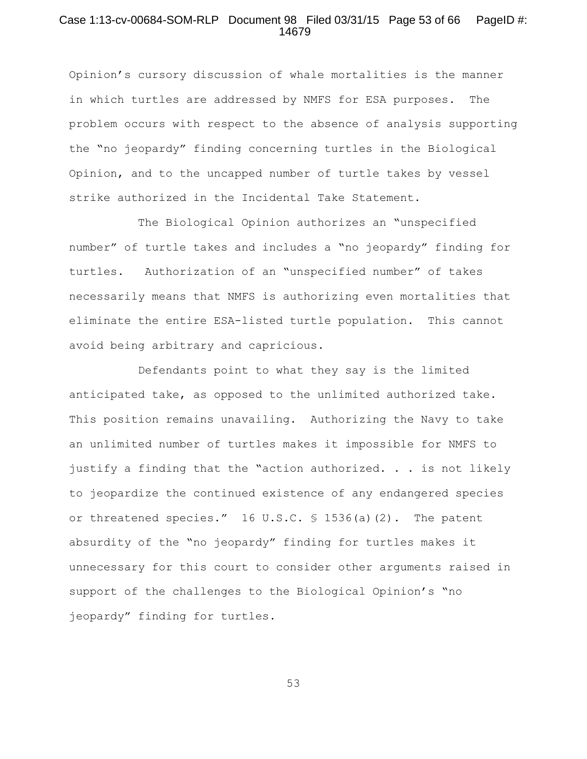## Case 1:13-cv-00684-SOM-RLP Document 98 Filed 03/31/15 Page 53 of 66 PageID #: 14679

Opinion's cursory discussion of whale mortalities is the manner in which turtles are addressed by NMFS for ESA purposes. The problem occurs with respect to the absence of analysis supporting the "no jeopardy" finding concerning turtles in the Biological Opinion, and to the uncapped number of turtle takes by vessel strike authorized in the Incidental Take Statement.

The Biological Opinion authorizes an "unspecified number" of turtle takes and includes a "no jeopardy" finding for turtles. Authorization of an "unspecified number" of takes necessarily means that NMFS is authorizing even mortalities that eliminate the entire ESA-listed turtle population. This cannot avoid being arbitrary and capricious.

Defendants point to what they say is the limited anticipated take, as opposed to the unlimited authorized take. This position remains unavailing. Authorizing the Navy to take an unlimited number of turtles makes it impossible for NMFS to justify a finding that the "action authorized. . . is not likely to jeopardize the continued existence of any endangered species or threatened species."  $16 \text{ U.S.C. }$  \$ 1536(a)(2). The patent absurdity of the "no jeopardy" finding for turtles makes it unnecessary for this court to consider other arguments raised in support of the challenges to the Biological Opinion's "no jeopardy" finding for turtles.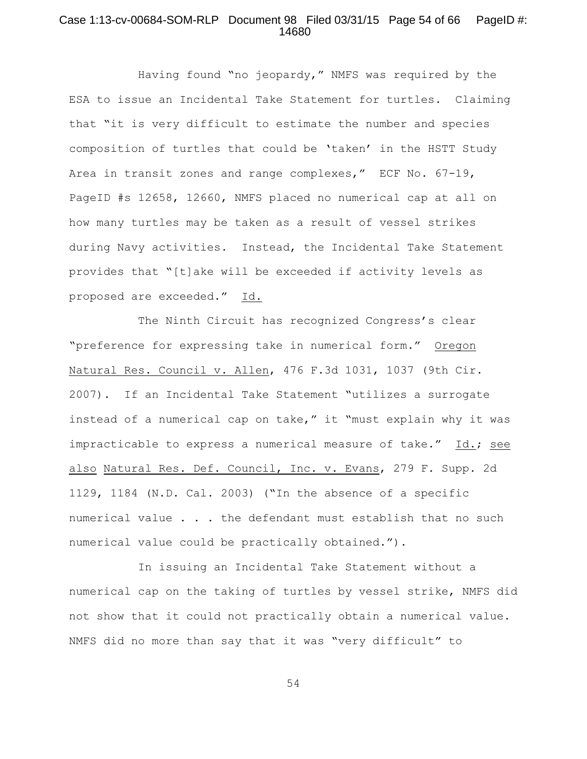## Case 1:13-cv-00684-SOM-RLP Document 98 Filed 03/31/15 Page 54 of 66 PageID #: 14680

Having found "no jeopardy," NMFS was required by the ESA to issue an Incidental Take Statement for turtles. Claiming that "it is very difficult to estimate the number and species composition of turtles that could be 'taken' in the HSTT Study Area in transit zones and range complexes," ECF No. 67-19, PageID #s 12658, 12660, NMFS placed no numerical cap at all on how many turtles may be taken as a result of vessel strikes during Navy activities. Instead, the Incidental Take Statement provides that "[t]ake will be exceeded if activity levels as proposed are exceeded." Id.

The Ninth Circuit has recognized Congress's clear "preference for expressing take in numerical form." Oregon Natural Res. Council v. Allen, 476 F.3d 1031, 1037 (9th Cir. 2007). If an Incidental Take Statement "utilizes a surrogate instead of a numerical cap on take," it "must explain why it was impracticable to express a numerical measure of take." Id.; see also Natural Res. Def. Council, Inc. v. Evans, 279 F. Supp. 2d 1129, 1184 (N.D. Cal. 2003) ("In the absence of a specific numerical value . . . the defendant must establish that no such numerical value could be practically obtained.").

In issuing an Incidental Take Statement without a numerical cap on the taking of turtles by vessel strike, NMFS did not show that it could not practically obtain a numerical value. NMFS did no more than say that it was "very difficult" to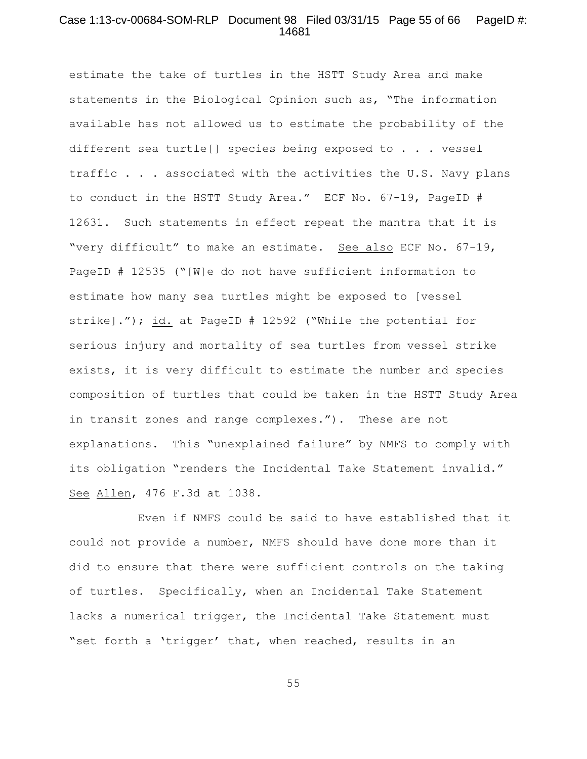## Case 1:13-cv-00684-SOM-RLP Document 98 Filed 03/31/15 Page 55 of 66 PageID #: 14681

estimate the take of turtles in the HSTT Study Area and make statements in the Biological Opinion such as, "The information available has not allowed us to estimate the probability of the different sea turtle[] species being exposed to . . . vessel traffic . . . associated with the activities the U.S. Navy plans to conduct in the HSTT Study Area." ECF No. 67-19, PageID # 12631. Such statements in effect repeat the mantra that it is "very difficult" to make an estimate. See also ECF No. 67-19, PageID # 12535 ("[W]e do not have sufficient information to estimate how many sea turtles might be exposed to [vessel strike]."); id. at PageID # 12592 ("While the potential for serious injury and mortality of sea turtles from vessel strike exists, it is very difficult to estimate the number and species composition of turtles that could be taken in the HSTT Study Area in transit zones and range complexes."). These are not explanations. This "unexplained failure" by NMFS to comply with its obligation "renders the Incidental Take Statement invalid." See Allen, 476 F.3d at 1038.

Even if NMFS could be said to have established that it could not provide a number, NMFS should have done more than it did to ensure that there were sufficient controls on the taking of turtles. Specifically, when an Incidental Take Statement lacks a numerical trigger, the Incidental Take Statement must "set forth a 'trigger' that, when reached, results in an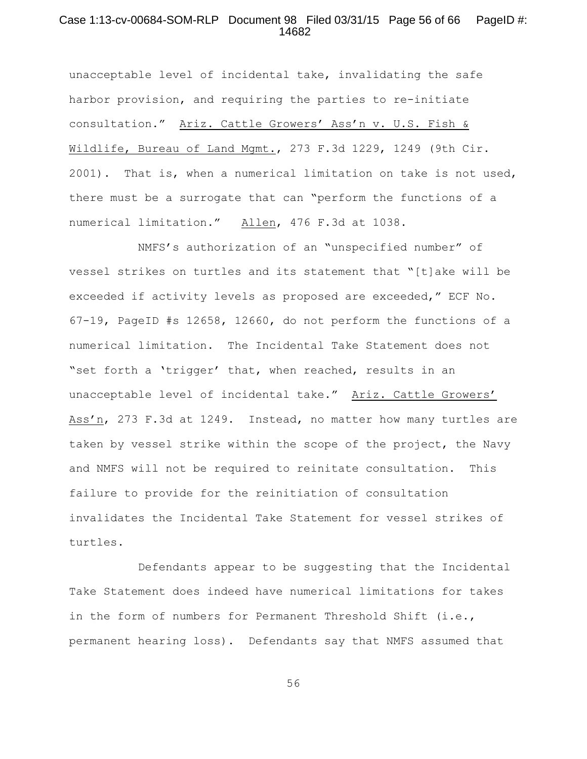## Case 1:13-cv-00684-SOM-RLP Document 98 Filed 03/31/15 Page 56 of 66 PageID #: 14682

unacceptable level of incidental take, invalidating the safe harbor provision, and requiring the parties to re-initiate consultation." Ariz. Cattle Growers' Ass'n v. U.S. Fish & Wildlife, Bureau of Land Mgmt., 273 F.3d 1229, 1249 (9th Cir. 2001). That is, when a numerical limitation on take is not used, there must be a surrogate that can "perform the functions of a numerical limitation." Allen, 476 F.3d at 1038.

NMFS's authorization of an "unspecified number" of vessel strikes on turtles and its statement that "[t]ake will be exceeded if activity levels as proposed are exceeded," ECF No. 67-19, PageID #s 12658, 12660, do not perform the functions of a numerical limitation. The Incidental Take Statement does not "set forth a 'trigger' that, when reached, results in an unacceptable level of incidental take." Ariz. Cattle Growers' Ass'n, 273 F.3d at 1249. Instead, no matter how many turtles are taken by vessel strike within the scope of the project, the Navy and NMFS will not be required to reinitate consultation. This failure to provide for the reinitiation of consultation invalidates the Incidental Take Statement for vessel strikes of turtles.

Defendants appear to be suggesting that the Incidental Take Statement does indeed have numerical limitations for takes in the form of numbers for Permanent Threshold Shift (i.e., permanent hearing loss). Defendants say that NMFS assumed that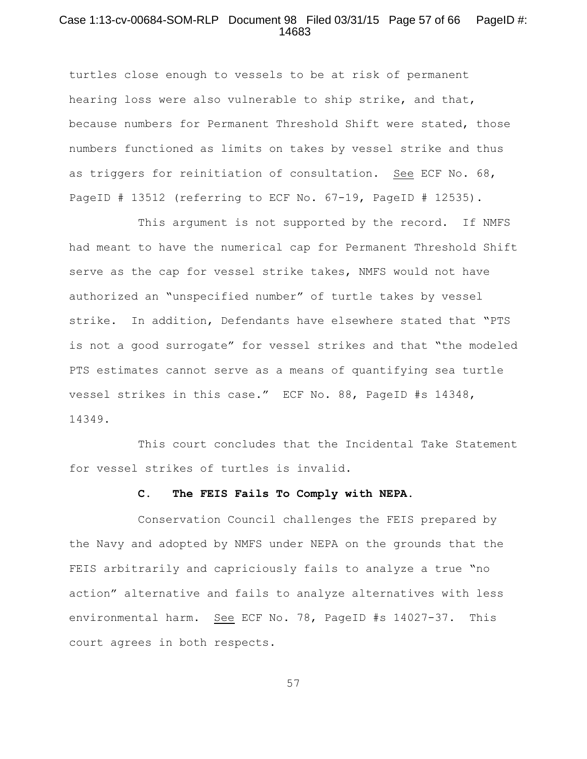#### Case 1:13-cv-00684-SOM-RLP Document 98 Filed 03/31/15 Page 57 of 66 PageID #: 14683

turtles close enough to vessels to be at risk of permanent hearing loss were also vulnerable to ship strike, and that, because numbers for Permanent Threshold Shift were stated, those numbers functioned as limits on takes by vessel strike and thus as triggers for reinitiation of consultation. See ECF No. 68, PageID # 13512 (referring to ECF No. 67-19, PageID # 12535).

This argument is not supported by the record. If NMFS had meant to have the numerical cap for Permanent Threshold Shift serve as the cap for vessel strike takes, NMFS would not have authorized an "unspecified number" of turtle takes by vessel strike. In addition, Defendants have elsewhere stated that "PTS is not a good surrogate" for vessel strikes and that "the modeled PTS estimates cannot serve as a means of quantifying sea turtle vessel strikes in this case." ECF No. 88, PageID #s 14348, 14349.

This court concludes that the Incidental Take Statement for vessel strikes of turtles is invalid.

#### **C. The FEIS Fails To Comply with NEPA.**

Conservation Council challenges the FEIS prepared by the Navy and adopted by NMFS under NEPA on the grounds that the FEIS arbitrarily and capriciously fails to analyze a true "no action" alternative and fails to analyze alternatives with less environmental harm. See ECF No. 78, PageID #s 14027-37. This court agrees in both respects.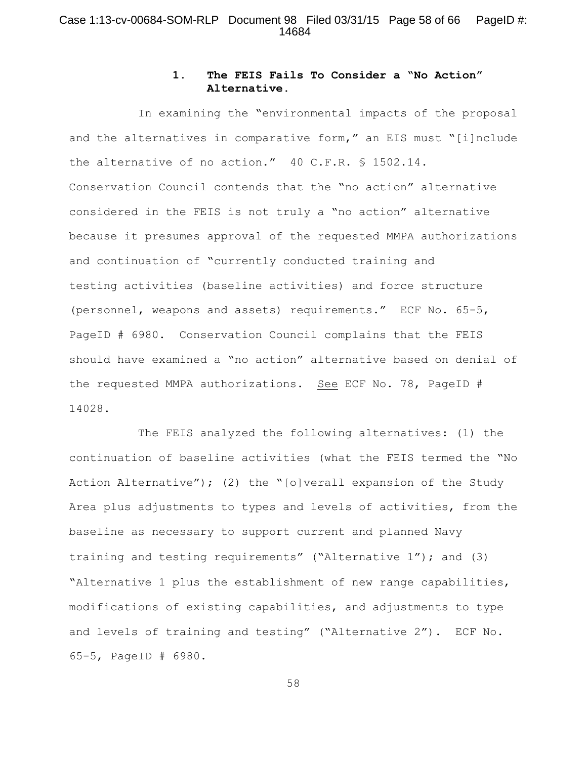## Case 1:13-cv-00684-SOM-RLP Document 98 Filed 03/31/15 Page 58 of 66 PageID #: 14684

# **1. The FEIS Fails To Consider a "No Action" Alternative.**

In examining the "environmental impacts of the proposal and the alternatives in comparative form," an EIS must "[i]nclude the alternative of no action." 40 C.F.R. § 1502.14. Conservation Council contends that the "no action" alternative considered in the FEIS is not truly a "no action" alternative because it presumes approval of the requested MMPA authorizations and continuation of "currently conducted training and testing activities (baseline activities) and force structure (personnel, weapons and assets) requirements." ECF No. 65-5, PageID # 6980. Conservation Council complains that the FEIS should have examined a "no action" alternative based on denial of the requested MMPA authorizations. See ECF No. 78, PageID # 14028.

The FEIS analyzed the following alternatives: (1) the continuation of baseline activities (what the FEIS termed the "No Action Alternative"); (2) the "[o]verall expansion of the Study Area plus adjustments to types and levels of activities, from the baseline as necessary to support current and planned Navy training and testing requirements" ("Alternative 1"); and (3) "Alternative 1 plus the establishment of new range capabilities, modifications of existing capabilities, and adjustments to type and levels of training and testing" ("Alternative 2"). ECF No. 65-5, PageID # 6980.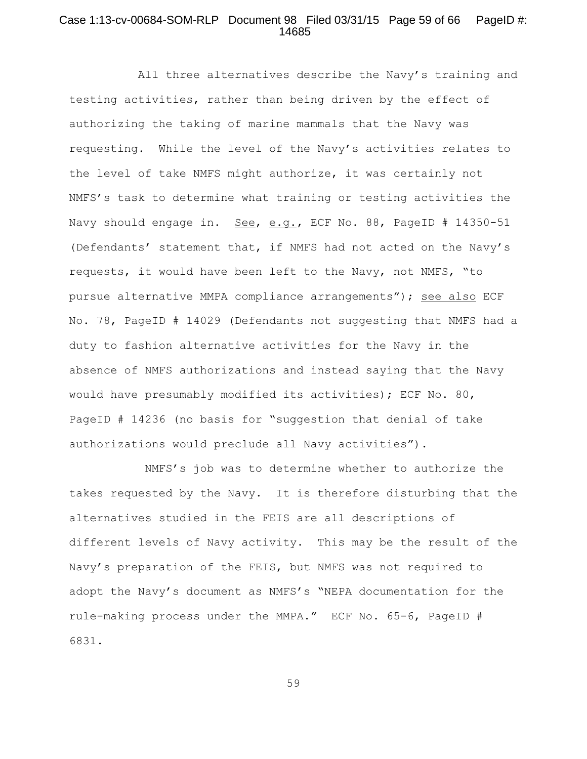## Case 1:13-cv-00684-SOM-RLP Document 98 Filed 03/31/15 Page 59 of 66 PageID #: 14685

All three alternatives describe the Navy's training and testing activities, rather than being driven by the effect of authorizing the taking of marine mammals that the Navy was requesting. While the level of the Navy's activities relates to the level of take NMFS might authorize, it was certainly not NMFS's task to determine what training or testing activities the Navy should engage in. See, e.g., ECF No. 88, PageID # 14350-51 (Defendants' statement that, if NMFS had not acted on the Navy's requests, it would have been left to the Navy, not NMFS, "to pursue alternative MMPA compliance arrangements"); see also ECF No. 78, PageID # 14029 (Defendants not suggesting that NMFS had a duty to fashion alternative activities for the Navy in the absence of NMFS authorizations and instead saying that the Navy would have presumably modified its activities); ECF No. 80, PageID # 14236 (no basis for "suggestion that denial of take authorizations would preclude all Navy activities").

 NMFS's job was to determine whether to authorize the takes requested by the Navy. It is therefore disturbing that the alternatives studied in the FEIS are all descriptions of different levels of Navy activity. This may be the result of the Navy's preparation of the FEIS, but NMFS was not required to adopt the Navy's document as NMFS's "NEPA documentation for the rule-making process under the MMPA." ECF No. 65-6, PageID # 6831.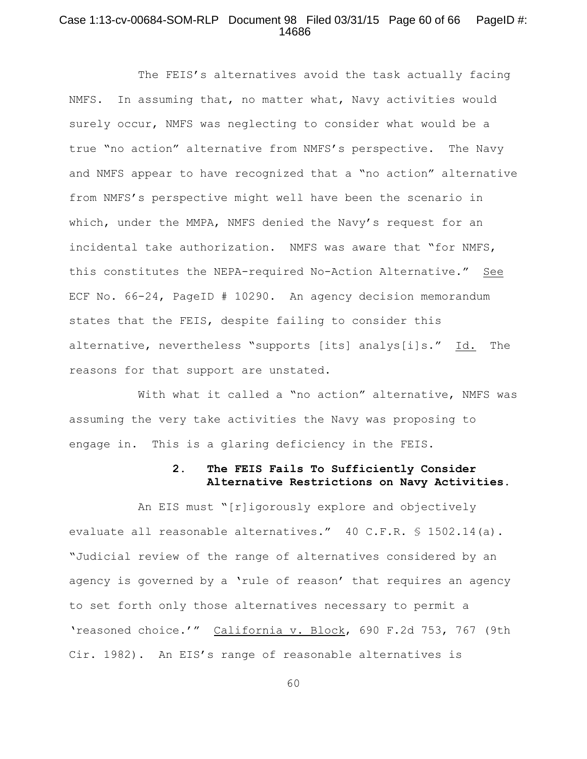## Case 1:13-cv-00684-SOM-RLP Document 98 Filed 03/31/15 Page 60 of 66 PageID #: 14686

The FEIS's alternatives avoid the task actually facing NMFS. In assuming that, no matter what, Navy activities would surely occur, NMFS was neglecting to consider what would be a true "no action" alternative from NMFS's perspective. The Navy and NMFS appear to have recognized that a "no action" alternative from NMFS's perspective might well have been the scenario in which, under the MMPA, NMFS denied the Navy's request for an incidental take authorization. NMFS was aware that "for NMFS, this constitutes the NEPA-required No-Action Alternative." See ECF No. 66-24, PageID # 10290. An agency decision memorandum states that the FEIS, despite failing to consider this alternative, nevertheless "supports [its] analys[i]s." Id. The reasons for that support are unstated.

With what it called a "no action" alternative, NMFS was assuming the very take activities the Navy was proposing to engage in. This is a glaring deficiency in the FEIS.

# **2. The FEIS Fails To Sufficiently Consider Alternative Restrictions on Navy Activities.**

An EIS must "[r]igorously explore and objectively evaluate all reasonable alternatives." 40 C.F.R. § 1502.14(a). "Judicial review of the range of alternatives considered by an agency is governed by a 'rule of reason' that requires an agency to set forth only those alternatives necessary to permit a 'reasoned choice.'" California v. Block, 690 F.2d 753, 767 (9th Cir. 1982). An EIS's range of reasonable alternatives is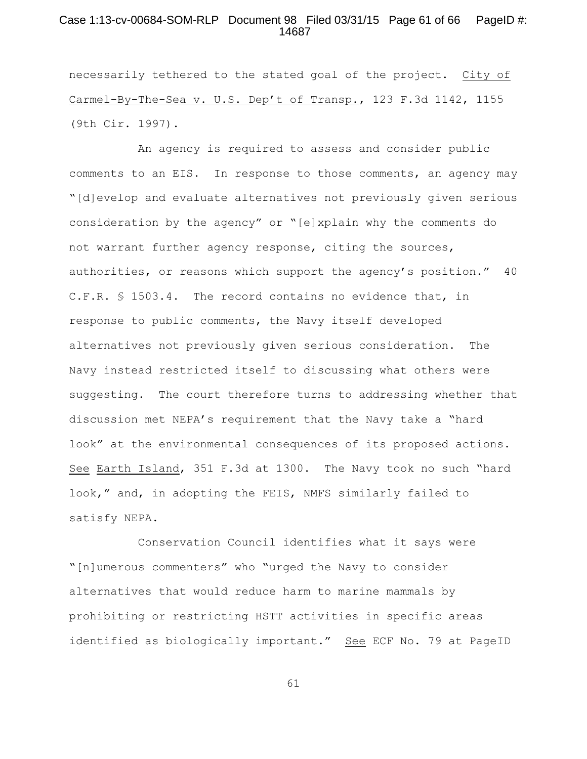#### Case 1:13-cv-00684-SOM-RLP Document 98 Filed 03/31/15 Page 61 of 66 PageID #: 14687

necessarily tethered to the stated goal of the project. City of Carmel-By-The-Sea v. U.S. Dep't of Transp., 123 F.3d 1142, 1155 (9th Cir. 1997).

An agency is required to assess and consider public comments to an EIS. In response to those comments, an agency may "[d]evelop and evaluate alternatives not previously given serious consideration by the agency" or "[e]xplain why the comments do not warrant further agency response, citing the sources, authorities, or reasons which support the agency's position." 40 C.F.R. § 1503.4. The record contains no evidence that, in response to public comments, the Navy itself developed alternatives not previously given serious consideration. The Navy instead restricted itself to discussing what others were suggesting. The court therefore turns to addressing whether that discussion met NEPA's requirement that the Navy take a "hard look" at the environmental consequences of its proposed actions. See Earth Island, 351 F.3d at 1300. The Navy took no such "hard look," and, in adopting the FEIS, NMFS similarly failed to satisfy NEPA.

Conservation Council identifies what it says were "[n]umerous commenters" who "urged the Navy to consider alternatives that would reduce harm to marine mammals by prohibiting or restricting HSTT activities in specific areas identified as biologically important." See ECF No. 79 at PageID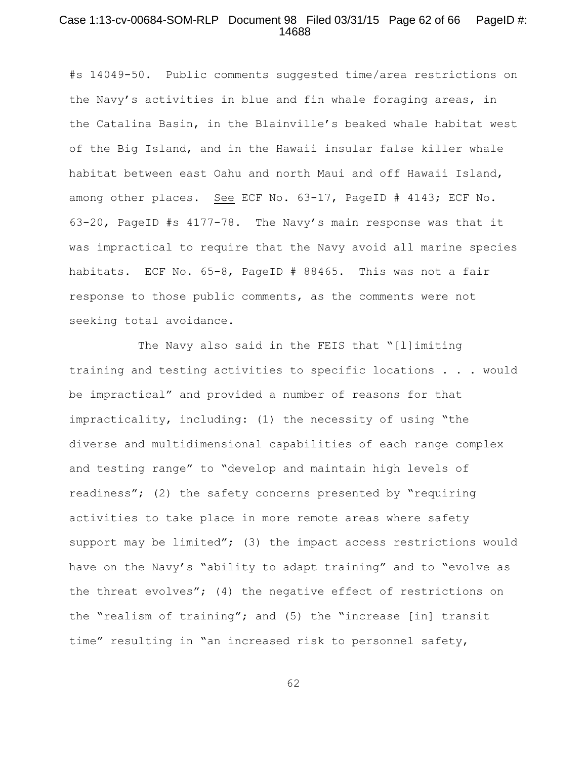## Case 1:13-cv-00684-SOM-RLP Document 98 Filed 03/31/15 Page 62 of 66 PageID #: 14688

#s 14049-50. Public comments suggested time/area restrictions on the Navy's activities in blue and fin whale foraging areas, in the Catalina Basin, in the Blainville's beaked whale habitat west of the Big Island, and in the Hawaii insular false killer whale habitat between east Oahu and north Maui and off Hawaii Island, among other places. See ECF No. 63-17, PageID # 4143; ECF No. 63-20, PageID #s 4177-78. The Navy's main response was that it was impractical to require that the Navy avoid all marine species habitats. ECF No. 65-8, PageID # 88465. This was not a fair response to those public comments, as the comments were not seeking total avoidance.

The Navy also said in the FEIS that "[l]imiting training and testing activities to specific locations . . . would be impractical" and provided a number of reasons for that impracticality, including: (1) the necessity of using "the diverse and multidimensional capabilities of each range complex and testing range" to "develop and maintain high levels of readiness"; (2) the safety concerns presented by "requiring activities to take place in more remote areas where safety support may be limited"; (3) the impact access restrictions would have on the Navy's "ability to adapt training" and to "evolve as the threat evolves"; (4) the negative effect of restrictions on the "realism of training"; and (5) the "increase [in] transit time" resulting in "an increased risk to personnel safety,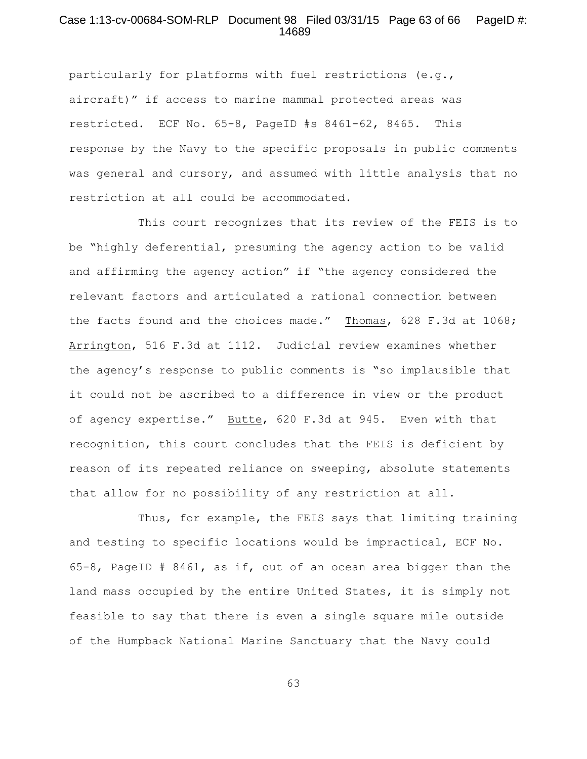#### Case 1:13-cv-00684-SOM-RLP Document 98 Filed 03/31/15 Page 63 of 66 PageID #: 14689

particularly for platforms with fuel restrictions (e.g., aircraft)" if access to marine mammal protected areas was restricted. ECF No. 65-8, PageID #s 8461-62, 8465. This response by the Navy to the specific proposals in public comments was general and cursory, and assumed with little analysis that no restriction at all could be accommodated.

This court recognizes that its review of the FEIS is to be "highly deferential, presuming the agency action to be valid and affirming the agency action" if "the agency considered the relevant factors and articulated a rational connection between the facts found and the choices made." Thomas, 628 F.3d at 1068; Arrington, 516 F.3d at 1112. Judicial review examines whether the agency's response to public comments is "so implausible that it could not be ascribed to a difference in view or the product of agency expertise." Butte, 620 F.3d at 945. Even with that recognition, this court concludes that the FEIS is deficient by reason of its repeated reliance on sweeping, absolute statements that allow for no possibility of any restriction at all.

Thus, for example, the FEIS says that limiting training and testing to specific locations would be impractical, ECF No. 65-8, PageID # 8461, as if, out of an ocean area bigger than the land mass occupied by the entire United States, it is simply not feasible to say that there is even a single square mile outside of the Humpback National Marine Sanctuary that the Navy could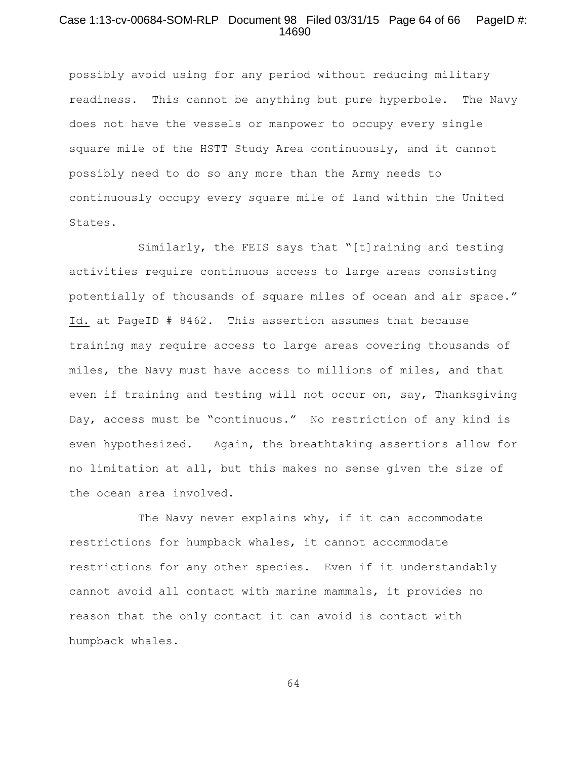## Case 1:13-cv-00684-SOM-RLP Document 98 Filed 03/31/15 Page 64 of 66 PageID #: 14690

possibly avoid using for any period without reducing military readiness. This cannot be anything but pure hyperbole. The Navy does not have the vessels or manpower to occupy every single square mile of the HSTT Study Area continuously, and it cannot possibly need to do so any more than the Army needs to continuously occupy every square mile of land within the United States.

Similarly, the FEIS says that "[t]raining and testing activities require continuous access to large areas consisting potentially of thousands of square miles of ocean and air space." Id. at PageID # 8462. This assertion assumes that because training may require access to large areas covering thousands of miles, the Navy must have access to millions of miles, and that even if training and testing will not occur on, say, Thanksgiving Day, access must be "continuous." No restriction of any kind is even hypothesized. Again, the breathtaking assertions allow for no limitation at all, but this makes no sense given the size of the ocean area involved.

The Navy never explains why, if it can accommodate restrictions for humpback whales, it cannot accommodate restrictions for any other species. Even if it understandably cannot avoid all contact with marine mammals, it provides no reason that the only contact it can avoid is contact with humpback whales.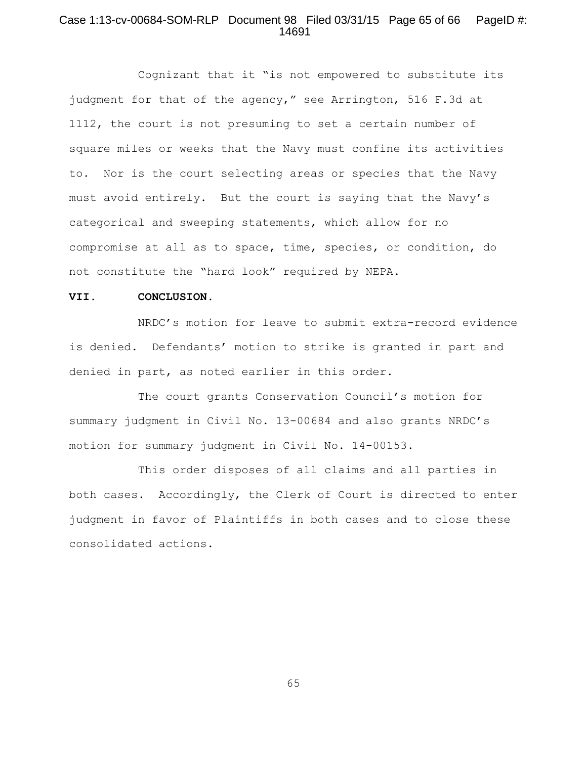## Case 1:13-cv-00684-SOM-RLP Document 98 Filed 03/31/15 Page 65 of 66 PageID #: 14691

Cognizant that it "is not empowered to substitute its judgment for that of the agency," see Arrington, 516 F.3d at 1112, the court is not presuming to set a certain number of square miles or weeks that the Navy must confine its activities to. Nor is the court selecting areas or species that the Navy must avoid entirely. But the court is saying that the Navy's categorical and sweeping statements, which allow for no compromise at all as to space, time, species, or condition, do not constitute the "hard look" required by NEPA.

#### **VII. CONCLUSION.**

NRDC's motion for leave to submit extra-record evidence is denied. Defendants' motion to strike is granted in part and denied in part, as noted earlier in this order.

The court grants Conservation Council's motion for summary judgment in Civil No. 13-00684 and also grants NRDC's motion for summary judgment in Civil No. 14-00153.

This order disposes of all claims and all parties in both cases. Accordingly, the Clerk of Court is directed to enter judgment in favor of Plaintiffs in both cases and to close these consolidated actions.